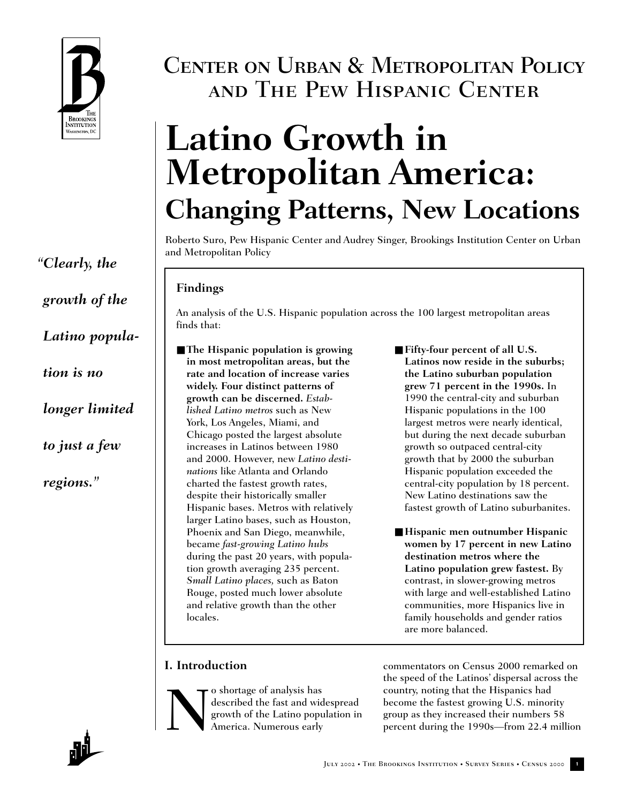

*"Clearly, the growth of the Latino population is no longer limited to just a few regions."*

# Center on Urban & Metropolitan Policy and The Pew Hispanic Center

# **Latino Growth in Metropolitan America: Changing Patterns, New Locations**

Roberto Suro, Pew Hispanic Center and Audrey Singer, Brookings Institution Center on Urban and Metropolitan Policy

# **Findings**

An analysis of the U.S. Hispanic population across the 100 largest metropolitan areas finds that:

- **The Hispanic population is growing in most metropolitan areas, but the rate and location of increase varies widely. Four distinct patterns of growth can be discerned.** *Established Latino metros* such as New York, Los Angeles, Miami, and Chicago posted the largest absolute increases in Latinos between 1980 and 2000. However, new *Latino destinations* like Atlanta and Orlando charted the fastest growth rates, despite their historically smaller Hispanic bases. Metros with relatively larger Latino bases, such as Houston, Phoenix and San Diego, meanwhile, became *fast-growing Latino hubs* during the past 20 years, with population growth averaging 235 percent. *Small Latino places,* such as Baton Rouge, posted much lower absolute and relative growth than the other locales.
- **Fifty-four percent of all U.S. Latinos now reside in the suburbs; the Latino suburban population grew 71 percent in the 1990s.** In 1990 the central-city and suburban Hispanic populations in the 100 largest metros were nearly identical, but during the next decade suburban growth so outpaced central-city growth that by 2000 the suburban Hispanic population exceeded the central-city population by 18 percent. New Latino destinations saw the fastest growth of Latino suburbanites.
- **Hispanic men outnumber Hispanic women by 17 percent in new Latino destination metros where the Latino population grew fastest.** By contrast, in slower-growing metros with large and well-established Latino communities, more Hispanics live in family households and gender ratios are more balanced.

# **I. Introduction**

o shortage of analysis has<br>described the fast and wide<br>growth of the Latino popu<br>America. Numerous early described the fast and widespread growth of the Latino population in America. Numerous early

commentators on Census 2000 remarked on the speed of the Latinos' dispersal across the country, noting that the Hispanics had become the fastest growing U.S. minority group as they increased their numbers 58 percent during the 1990s—from 22.4 million

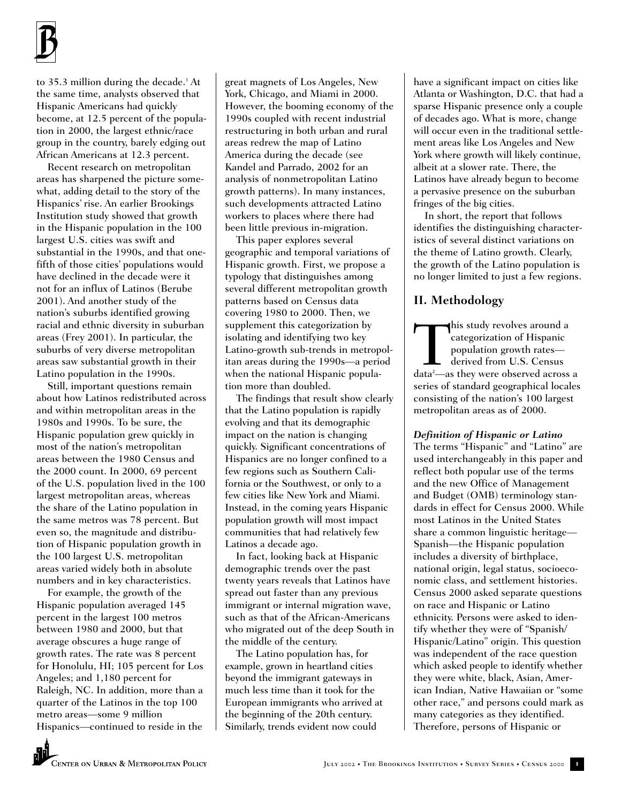

to 35.3 million during the decade.<sup>1</sup> At the same time, analysts observed that Hispanic Americans had quickly become, at 12.5 percent of the population in 2000, the largest ethnic/race group in the country, barely edging out African Americans at 12.3 percent.

Recent research on metropolitan areas has sharpened the picture somewhat, adding detail to the story of the Hispanics' rise. An earlier Brookings Institution study showed that growth in the Hispanic population in the 100 largest U.S. cities was swift and substantial in the 1990s, and that onefifth of those cities' populations would have declined in the decade were it not for an influx of Latinos (Berube 2001). And another study of the nation's suburbs identified growing racial and ethnic diversity in suburban areas (Frey 2001). In particular, the suburbs of very diverse metropolitan areas saw substantial growth in their Latino population in the 1990s.

Still, important questions remain about how Latinos redistributed across and within metropolitan areas in the 1980s and 1990s. To be sure, the Hispanic population grew quickly in most of the nation's metropolitan areas between the 1980 Census and the 2000 count. In 2000, 69 percent of the U.S. population lived in the 100 largest metropolitan areas, whereas the share of the Latino population in the same metros was 78 percent. But even so, the magnitude and distribution of Hispanic population growth in the 100 largest U.S. metropolitan areas varied widely both in absolute numbers and in key characteristics.

For example, the growth of the Hispanic population averaged 145 percent in the largest 100 metros between 1980 and 2000, but that average obscures a huge range of growth rates. The rate was 8 percent for Honolulu, HI; 105 percent for Los Angeles; and 1,180 percent for Raleigh, NC. In addition, more than a quarter of the Latinos in the top 100 metro areas—some 9 million Hispanics—continued to reside in the

great magnets of Los Angeles, New York, Chicago, and Miami in 2000. However, the booming economy of the 1990s coupled with recent industrial restructuring in both urban and rural areas redrew the map of Latino America during the decade (see Kandel and Parrado, 2002 for an analysis of nonmetropolitan Latino growth patterns). In many instances, such developments attracted Latino workers to places where there had been little previous in-migration.

This paper explores several geographic and temporal variations of Hispanic growth. First, we propose a typology that distinguishes among several different metropolitan growth patterns based on Census data covering 1980 to 2000. Then, we supplement this categorization by isolating and identifying two key Latino-growth sub-trends in metropolitan areas during the 1990s—a period when the national Hispanic population more than doubled.

The findings that result show clearly that the Latino population is rapidly evolving and that its demographic impact on the nation is changing quickly. Significant concentrations of Hispanics are no longer confined to a few regions such as Southern California or the Southwest, or only to a few cities like New York and Miami. Instead, in the coming years Hispanic population growth will most impact communities that had relatively few Latinos a decade ago.

In fact, looking back at Hispanic demographic trends over the past twenty years reveals that Latinos have spread out faster than any previous immigrant or internal migration wave, such as that of the African-Americans who migrated out of the deep South in the middle of the century.

The Latino population has, for example, grown in heartland cities beyond the immigrant gateways in much less time than it took for the European immigrants who arrived at the beginning of the 20th century. Similarly, trends evident now could

have a significant impact on cities like Atlanta or Washington, D.C. that had a sparse Hispanic presence only a couple of decades ago. What is more, change will occur even in the traditional settlement areas like Los Angeles and New York where growth will likely continue, albeit at a slower rate. There, the Latinos have already begun to become a pervasive presence on the suburban fringes of the big cities.

In short, the report that follows identifies the distinguishing characteristics of several distinct variations on the theme of Latino growth. Clearly, the growth of the Latino population is no longer limited to just a few regions.

## **II. Methodology**

This study revolves around a<br>
categorization of Hispanic<br>
population growth rates—<br>
derived from U.S. Census<br>
data<sup>2</sup>—as they were observed across a categorization of Hispanic population growth rates derived from U.S. Census series of standard geographical locales consisting of the nation's 100 largest metropolitan areas as of 2000.

*Definition of Hispanic or Latino* The terms "Hispanic" and "Latino" are used interchangeably in this paper and reflect both popular use of the terms and the new Office of Management and Budget (OMB) terminology standards in effect for Census 2000. While most Latinos in the United States share a common linguistic heritage— Spanish—the Hispanic population includes a diversity of birthplace, national origin, legal status, socioeconomic class, and settlement histories. Census 2000 asked separate questions on race and Hispanic or Latino ethnicity. Persons were asked to identify whether they were of "Spanish/ Hispanic/Latino" origin. This question was independent of the race question which asked people to identify whether they were white, black, Asian, American Indian, Native Hawaiian or "some other race," and persons could mark as many categories as they identified. Therefore, persons of Hispanic or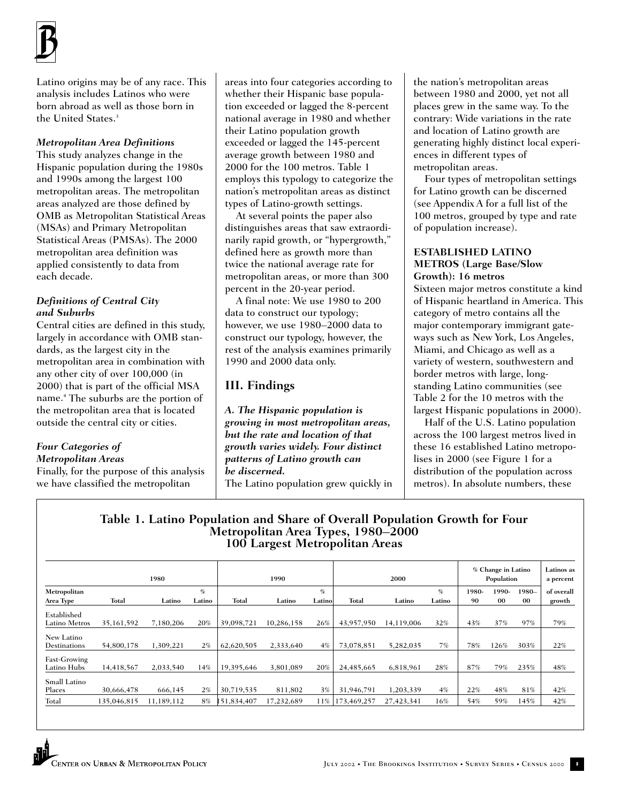Latino origins may be of any race. This analysis includes Latinos who were born abroad as well as those born in the United States.<sup>3</sup>

#### *Metropolitan Area Definitions*

This study analyzes change in the Hispanic population during the 1980s and 1990s among the largest 100 metropolitan areas. The metropolitan areas analyzed are those defined by OMB as Metropolitan Statistical Areas (MSAs) and Primary Metropolitan Statistical Areas (PMSAs). The 2000 metropolitan area definition was applied consistently to data from each decade.

#### *Definitions of Central City and Suburbs*

Central cities are defined in this study, largely in accordance with OMB standards, as the largest city in the metropolitan area in combination with any other city of over 100,000 (in 2000) that is part of the official MSA name.4 The suburbs are the portion of the metropolitan area that is located outside the central city or cities.

#### *Four Categories of Metropolitan Areas*

Finally, for the purpose of this analysis we have classified the metropolitan

areas into four categories according to whether their Hispanic base population exceeded or lagged the 8-percent national average in 1980 and whether their Latino population growth exceeded or lagged the 145-percent average growth between 1980 and 2000 for the 100 metros. Table 1 employs this typology to categorize the nation's metropolitan areas as distinct types of Latino-growth settings.

At several points the paper also distinguishes areas that saw extraordinarily rapid growth, or "hypergrowth," defined here as growth more than twice the national average rate for metropolitan areas, or more than 300 percent in the 20-year period.

A final note: We use 1980 to 200 data to construct our typology; however, we use 1980–2000 data to construct our typology, however, the rest of the analysis examines primarily 1990 and 2000 data only.

# **III. Findings**

*A. The Hispanic population is growing in most metropolitan areas, but the rate and location of that growth varies widely. Four distinct patterns of Latino growth can be discerned.*  The Latino population grew quickly in the nation's metropolitan areas between 1980 and 2000, yet not all places grew in the same way. To the contrary: Wide variations in the rate and location of Latino growth are generating highly distinct local experiences in different types of metropolitan areas.

Four types of metropolitan settings for Latino growth can be discerned (see Appendix A for a full list of the 100 metros, grouped by type and rate of population increase).

#### **ESTABLISHED LATINO METROS (Large Base/Slow Growth): 16 metros**

Sixteen major metros constitute a kind of Hispanic heartland in America. This category of metro contains all the major contemporary immigrant gateways such as New York, Los Angeles, Miami, and Chicago as well as a variety of western, southwestern and border metros with large, longstanding Latino communities (see Table 2 for the 10 metros with the largest Hispanic populations in 2000).

Half of the U.S. Latino population across the 100 largest metros lived in these 16 established Latino metropolises in 2000 (see Figure 1 for a distribution of the population across metros). In absolute numbers, these

#### **Table 1. Latino Population and Share of Overall Population Growth for Four Metropolitan Area Types, 1980–2000 100 Largest Metropolitan Areas**

|                                   |             | 1980       |        |             | 1990       |        |             | 2000       |        |       | % Change in Latino<br>Population |       | Latinos as<br>a percent |
|-----------------------------------|-------------|------------|--------|-------------|------------|--------|-------------|------------|--------|-------|----------------------------------|-------|-------------------------|
| Metropolitan                      |             |            | %      |             |            | %      |             |            | %      | 1980- | 1990-                            | 1980- | of overall              |
| Area Type                         | Total       | Latino     | Latino | Total       | Latino     | Latino | Total       | Latino     | Latino | 90    | 00                               | 00    | growth                  |
| Established                       |             |            |        |             |            |        |             |            |        |       |                                  |       |                         |
| <b>Latino Metros</b>              | 35,161,592  | 7,180,206  | 20%    | 39,098,721  | 10,286,158 | 26%    | 43,957,950  | 14.119.006 | 32%    | 43%   | 37%                              | 97%   | 79%                     |
| New Latino<br><b>Destinations</b> | 54,800,178  | 1.309.221  | 2%     | 62,620,505  | 2,333,640  | 4%     | 73,078,851  | 5,282,035  | 7%     | 78%   | 126%                             | 303%  | 22%                     |
| Fast-Growing<br>Latino Hubs       | 14,418,567  | 2,033,540  | 14%    | 19,395,646  | 3.801.089  | 20%    | 24,485,665  | 6.818.961  | 28%    | 87%   | 79%                              | 235%  | 48%                     |
| <b>Small Latino</b><br>Places     | 30,666,478  | 666,145    | 2%     | 30,719,535  | 811,802    | 3%     | 31,946,791  | 1,203,339  | 4%     | 22%   | 48%                              | 81%   | 42%                     |
| Total                             | 135,046,815 | 11,189,112 | 8%     | 151,834,407 | 17.232.689 | 11%    | 173,469,257 | 27,423,341 | 16%    | 54%   | 59%                              | 145%  | 42%                     |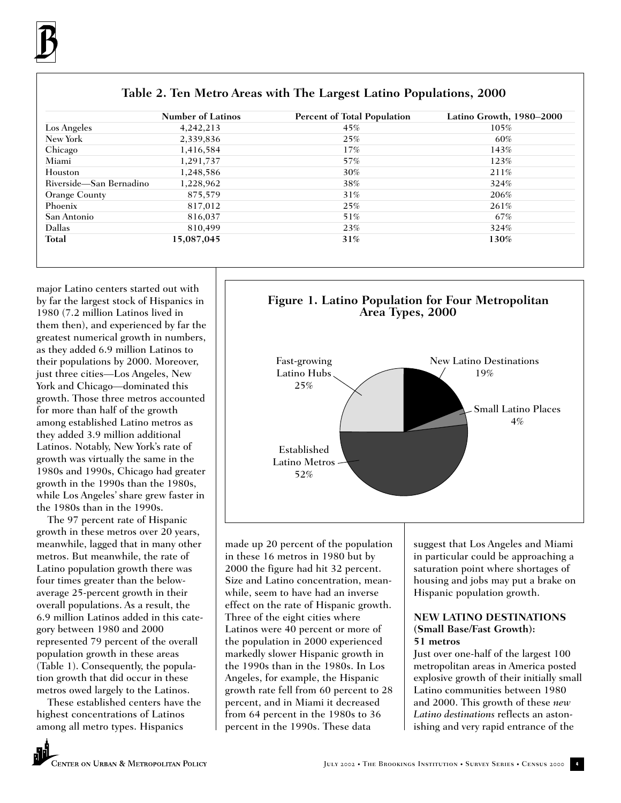|                         | <b>Number of Latinos</b> | <b>Percent of Total Population</b> | Latino Growth, 1980-2000 |
|-------------------------|--------------------------|------------------------------------|--------------------------|
| Los Angeles             | 4,242,213                | 45%                                | 105%                     |
| New York                | 2,339,836                | 25%                                | 60%                      |
| Chicago                 | 1,416,584                | 17%                                | 143%                     |
| Miami                   | 1,291,737                | 57%                                | 123%                     |
| Houston                 | 1,248,586                | 30%                                | 211%                     |
| Riverside—San Bernadino | 1,228,962                | 38%                                | 324%                     |
| <b>Orange County</b>    | 875,579                  | 31%                                | 206%                     |
| Phoenix                 | 817,012                  | 25%                                | 261%                     |
| San Antonio             | 816,037                  | 51%                                | 67%                      |
| Dallas                  | 810,499                  | 23%                                | 324%                     |
| <b>Total</b>            | 15,087,045               | 31%                                | 130%                     |

# **Table 2. Ten Metro Areas with The Largest Latino Populations, 2000**

major Latino centers started out with by far the largest stock of Hispanics in 1980 (7.2 million Latinos lived in them then), and experienced by far the greatest numerical growth in numbers, as they added 6.9 million Latinos to their populations by 2000. Moreover, just three cities—Los Angeles, New York and Chicago—dominated this growth. Those three metros accounted for more than half of the growth among established Latino metros as they added 3.9 million additional Latinos. Notably, New York's rate of growth was virtually the same in the 1980s and 1990s, Chicago had greater growth in the 1990s than the 1980s, while Los Angeles' share grew faster in the 1980s than in the 1990s.

The 97 percent rate of Hispanic growth in these metros over 20 years, meanwhile, lagged that in many other metros. But meanwhile, the rate of Latino population growth there was four times greater than the belowaverage 25-percent growth in their overall populations. As a result, the 6.9 million Latinos added in this category between 1980 and 2000 represented 79 percent of the overall population growth in these areas (Table 1). Consequently, the population growth that did occur in these metros owed largely to the Latinos.

These established centers have the highest concentrations of Latinos among all metro types. Hispanics



made up 20 percent of the population in these 16 metros in 1980 but by 2000 the figure had hit 32 percent. Size and Latino concentration, meanwhile, seem to have had an inverse effect on the rate of Hispanic growth. Three of the eight cities where Latinos were 40 percent or more of the population in 2000 experienced markedly slower Hispanic growth in the 1990s than in the 1980s. In Los Angeles, for example, the Hispanic growth rate fell from 60 percent to 28 percent, and in Miami it decreased from 64 percent in the 1980s to 36 percent in the 1990s. These data

suggest that Los Angeles and Miami in particular could be approaching a saturation point where shortages of housing and jobs may put a brake on Hispanic population growth.

#### **NEW LATINO DESTINATIONS (Small Base/Fast Growth): 51 metros**

Just over one-half of the largest 100 metropolitan areas in America posted explosive growth of their initially small Latino communities between 1980 and 2000. This growth of these *new Latino destinations* reflects an astonishing and very rapid entrance of the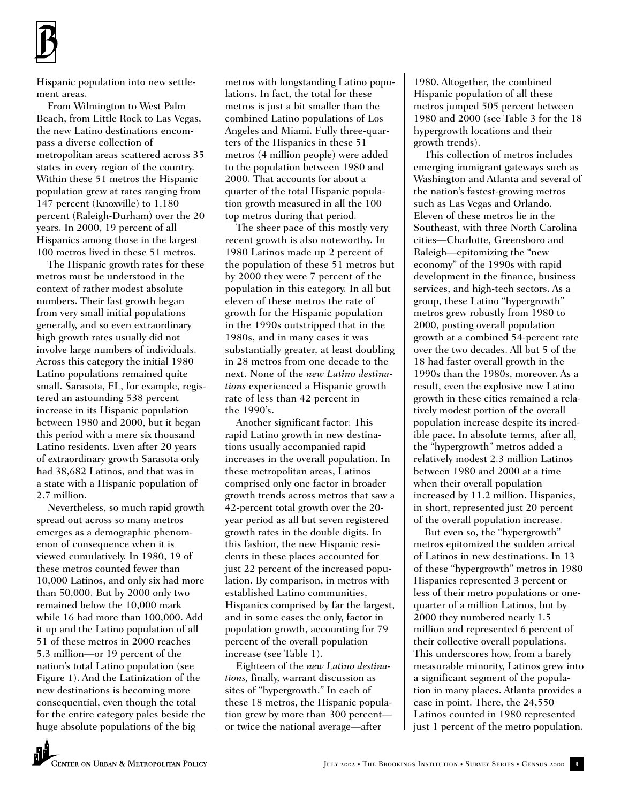

Hispanic population into new settlement areas.

From Wilmington to West Palm Beach, from Little Rock to Las Vegas, the new Latino destinations encompass a diverse collection of metropolitan areas scattered across 35 states in every region of the country. Within these 51 metros the Hispanic population grew at rates ranging from 147 percent (Knoxville) to 1,180 percent (Raleigh-Durham) over the 20 years. In 2000, 19 percent of all Hispanics among those in the largest 100 metros lived in these 51 metros.

The Hispanic growth rates for these metros must be understood in the context of rather modest absolute numbers. Their fast growth began from very small initial populations generally, and so even extraordinary high growth rates usually did not involve large numbers of individuals. Across this category the initial 1980 Latino populations remained quite small. Sarasota, FL, for example, registered an astounding 538 percent increase in its Hispanic population between 1980 and 2000, but it began this period with a mere six thousand Latino residents. Even after 20 years of extraordinary growth Sarasota only had 38,682 Latinos, and that was in a state with a Hispanic population of 2.7 million.

Nevertheless, so much rapid growth spread out across so many metros emerges as a demographic phenomenon of consequence when it is viewed cumulatively. In 1980, 19 of these metros counted fewer than 10,000 Latinos, and only six had more than 50,000. But by 2000 only two remained below the 10,000 mark while 16 had more than 100,000. Add it up and the Latino population of all 51 of these metros in 2000 reaches 5.3 million—or 19 percent of the nation's total Latino population (see Figure 1). And the Latinization of the new destinations is becoming more consequential, even though the total for the entire category pales beside the huge absolute populations of the big

metros with longstanding Latino populations. In fact, the total for these metros is just a bit smaller than the combined Latino populations of Los Angeles and Miami. Fully three-quarters of the Hispanics in these 51 metros (4 million people) were added to the population between 1980 and 2000. That accounts for about a quarter of the total Hispanic population growth measured in all the 100 top metros during that period.

The sheer pace of this mostly very recent growth is also noteworthy. In 1980 Latinos made up 2 percent of the population of these 51 metros but by 2000 they were 7 percent of the population in this category. In all but eleven of these metros the rate of growth for the Hispanic population in the 1990s outstripped that in the 1980s, and in many cases it was substantially greater, at least doubling in 28 metros from one decade to the next. None of the *new Latino destinations* experienced a Hispanic growth rate of less than 42 percent in the 1990's.

Another significant factor: This rapid Latino growth in new destinations usually accompanied rapid increases in the overall population. In these metropolitan areas, Latinos comprised only one factor in broader growth trends across metros that saw a 42-percent total growth over the 20 year period as all but seven registered growth rates in the double digits. In this fashion, the new Hispanic residents in these places accounted for just 22 percent of the increased population. By comparison, in metros with established Latino communities, Hispanics comprised by far the largest, and in some cases the only, factor in population growth, accounting for 79 percent of the overall population increase (see Table 1).

Eighteen of the *new Latino destinations,* finally, warrant discussion as sites of "hypergrowth." In each of these 18 metros, the Hispanic population grew by more than 300 percent or twice the national average—after

1980. Altogether, the combined Hispanic population of all these metros jumped 505 percent between 1980 and 2000 (see Table 3 for the 18 hypergrowth locations and their growth trends).

This collection of metros includes emerging immigrant gateways such as Washington and Atlanta and several of the nation's fastest-growing metros such as Las Vegas and Orlando. Eleven of these metros lie in the Southeast, with three North Carolina cities—Charlotte, Greensboro and Raleigh—epitomizing the "new economy" of the 1990s with rapid development in the finance, business services, and high-tech sectors. As a group, these Latino "hypergrowth" metros grew robustly from 1980 to 2000, posting overall population growth at a combined 54-percent rate over the two decades. All but 5 of the 18 had faster overall growth in the 1990s than the 1980s, moreover. As a result, even the explosive new Latino growth in these cities remained a relatively modest portion of the overall population increase despite its incredible pace. In absolute terms, after all, the "hypergrowth" metros added a relatively modest 2.3 million Latinos between 1980 and 2000 at a time when their overall population increased by 11.2 million. Hispanics, in short, represented just 20 percent of the overall population increase.

But even so, the "hypergrowth" metros epitomized the sudden arrival of Latinos in new destinations. In 13 of these "hypergrowth" metros in 1980 Hispanics represented 3 percent or less of their metro populations or onequarter of a million Latinos, but by 2000 they numbered nearly 1.5 million and represented 6 percent of their collective overall populations. This underscores how, from a barely measurable minority, Latinos grew into a significant segment of the population in many places. Atlanta provides a case in point. There, the 24,550 Latinos counted in 1980 represented just 1 percent of the metro population.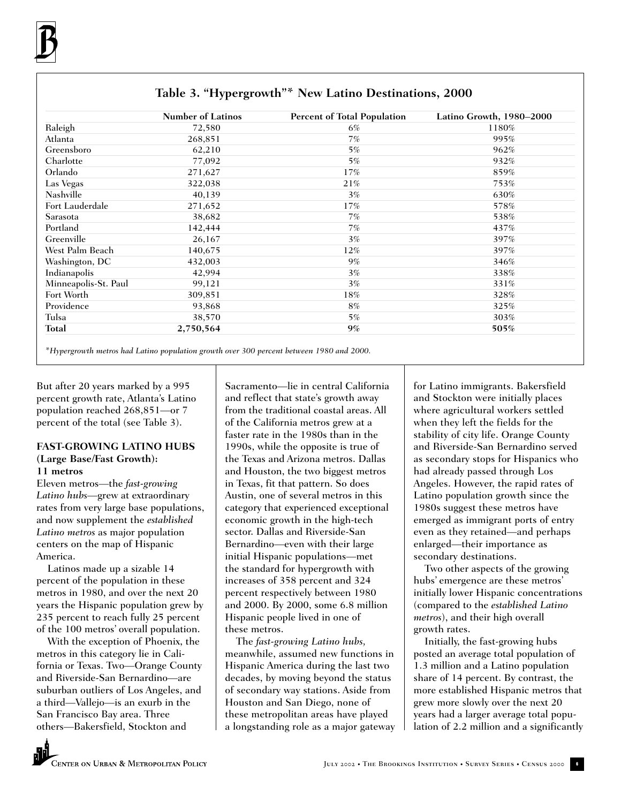|                      | <b>Number of Latinos</b> | <b>Percent of Total Population</b> | Latino Growth, 1980–2000 |
|----------------------|--------------------------|------------------------------------|--------------------------|
| Raleigh              | 72,580                   | 6%                                 | 1180%                    |
| Atlanta              | 268,851                  | 7%                                 | 995%                     |
| Greensboro           | 62,210                   | 5%                                 | 962%                     |
| Charlotte            | 77,092                   | 5%                                 | 932%                     |
| Orlando              | 271,627                  | 17%                                | 859%                     |
| Las Vegas            | 322,038                  | 21%                                | 753%                     |
| Nashville            | 40,139                   | 3%                                 | 630%                     |
| Fort Lauderdale      | 271,652                  | 17%                                | 578%                     |
| Sarasota             | 38,682                   | 7%                                 | 538%                     |
| Portland             | 142,444                  | 7%                                 | 437%                     |
| Greenville           | 26,167                   | $3\%$                              | 397%                     |
| West Palm Beach      | 140,675                  | 12%                                | 397%                     |
| Washington, DC       | 432,003                  | $9\%$                              | 346%                     |
| Indianapolis         | 42,994                   | $3\%$                              | 338%                     |
| Minneapolis-St. Paul | 99,121                   | $3\%$                              | 331%                     |
| Fort Worth           | 309,851                  | 18%                                | 328%                     |
| Providence           | 93,868                   | 8%                                 | 325%                     |
| Tulsa                | 38,570                   | 5%                                 | 303%                     |
| Total                | 2,750,564                | $9\%$                              | 505%                     |

# **Table 3. "Hypergrowth"\* New Latino Destinations, 2000**

*\*Hypergrowth metros had Latino population growth over 300 percent between 1980 and 2000.*

But after 20 years marked by a 995 percent growth rate, Atlanta's Latino population reached 268,851—or 7 percent of the total (see Table 3).

# **FAST-GROWING LATINO HUBS (Large Base/Fast Growth):**

#### **11 metros**

Eleven metros—the *fast-growing Latino hubs*—grew at extraordinary rates from very large base populations, and now supplement the *established Latino metros* as major population centers on the map of Hispanic America.

Latinos made up a sizable 14 percent of the population in these metros in 1980, and over the next 20 years the Hispanic population grew by 235 percent to reach fully 25 percent of the 100 metros' overall population.

With the exception of Phoenix, the metros in this category lie in California or Texas. Two—Orange County and Riverside-San Bernardino—are suburban outliers of Los Angeles, and a third—Vallejo—is an exurb in the San Francisco Bay area. Three others—Bakersfield, Stockton and

Sacramento—lie in central California and reflect that state's growth away from the traditional coastal areas. All of the California metros grew at a faster rate in the 1980s than in the 1990s, while the opposite is true of the Texas and Arizona metros. Dallas and Houston, the two biggest metros in Texas, fit that pattern. So does Austin, one of several metros in this category that experienced exceptional economic growth in the high-tech sector. Dallas and Riverside-San Bernardino—even with their large initial Hispanic populations—met the standard for hypergrowth with increases of 358 percent and 324 percent respectively between 1980 and 2000. By 2000, some 6.8 million Hispanic people lived in one of these metros.

The *fast-growing Latino hubs,* meanwhile, assumed new functions in Hispanic America during the last two decades, by moving beyond the status of secondary way stations. Aside from Houston and San Diego, none of these metropolitan areas have played a longstanding role as a major gateway for Latino immigrants. Bakersfield and Stockton were initially places where agricultural workers settled when they left the fields for the stability of city life. Orange County and Riverside-San Bernardino served as secondary stops for Hispanics who had already passed through Los Angeles. However, the rapid rates of Latino population growth since the 1980s suggest these metros have emerged as immigrant ports of entry even as they retained—and perhaps enlarged—their importance as secondary destinations.

Two other aspects of the growing hubs' emergence are these metros' initially lower Hispanic concentrations (compared to the *established Latino metros*), and their high overall growth rates.

Initially, the fast-growing hubs posted an average total population of 1.3 million and a Latino population share of 14 percent. By contrast, the more established Hispanic metros that grew more slowly over the next 20 years had a larger average total population of 2.2 million and a significantly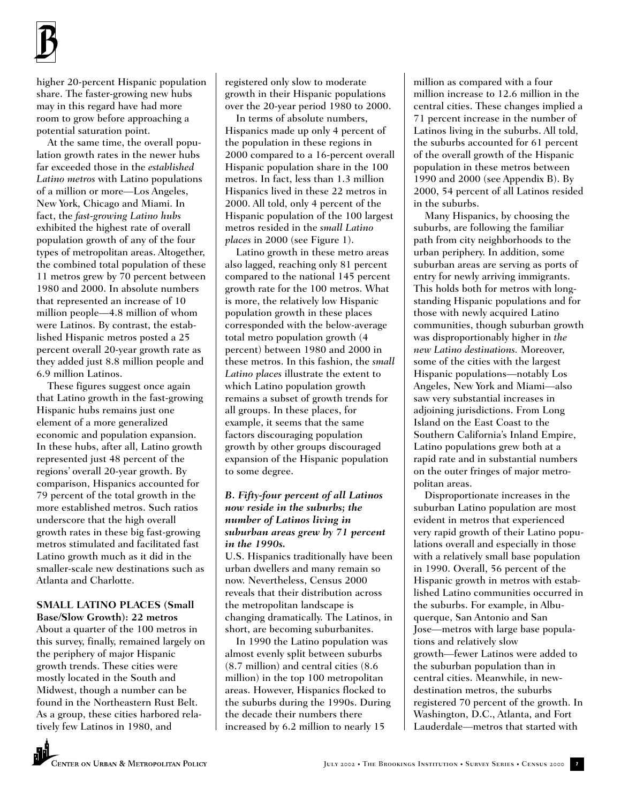

higher 20-percent Hispanic population share. The faster-growing new hubs may in this regard have had more room to grow before approaching a potential saturation point.

At the same time, the overall population growth rates in the newer hubs far exceeded those in the *established Latino metros* with Latino populations of a million or more—Los Angeles, New York, Chicago and Miami. In fact, the *fast-growing Latino hubs* exhibited the highest rate of overall population growth of any of the four types of metropolitan areas. Altogether, the combined total population of these 11 metros grew by 70 percent between 1980 and 2000. In absolute numbers that represented an increase of 10 million people—4.8 million of whom were Latinos. By contrast, the established Hispanic metros posted a 25 percent overall 20-year growth rate as they added just 8.8 million people and 6.9 million Latinos.

These figures suggest once again that Latino growth in the fast-growing Hispanic hubs remains just one element of a more generalized economic and population expansion. In these hubs, after all, Latino growth represented just 48 percent of the regions' overall 20-year growth. By comparison, Hispanics accounted for 79 percent of the total growth in the more established metros. Such ratios underscore that the high overall growth rates in these big fast-growing metros stimulated and facilitated fast Latino growth much as it did in the smaller-scale new destinations such as Atlanta and Charlotte.

#### **SMALL LATINO PLACES (Small**

**Base/Slow Growth): 22 metros**  About a quarter of the 100 metros in this survey, finally, remained largely on the periphery of major Hispanic growth trends. These cities were mostly located in the South and Midwest, though a number can be found in the Northeastern Rust Belt. As a group, these cities harbored relatively few Latinos in 1980, and

registered only slow to moderate growth in their Hispanic populations over the 20-year period 1980 to 2000.

In terms of absolute numbers, Hispanics made up only 4 percent of the population in these regions in 2000 compared to a 16-percent overall Hispanic population share in the 100 metros. In fact, less than 1.3 million Hispanics lived in these 22 metros in 2000. All told, only 4 percent of the Hispanic population of the 100 largest metros resided in the *small Latino places* in 2000 (see Figure 1).

Latino growth in these metro areas also lagged, reaching only 81 percent compared to the national 145 percent growth rate for the 100 metros. What is more, the relatively low Hispanic population growth in these places corresponded with the below-average total metro population growth (4 percent) between 1980 and 2000 in these metros. In this fashion, the *small Latino places* illustrate the extent to which Latino population growth remains a subset of growth trends for all groups. In these places, for example, it seems that the same factors discouraging population growth by other groups discouraged expansion of the Hispanic population to some degree.

#### *B. Fifty-four percent of all Latinos now reside in the suburbs; the number of Latinos living in suburban areas grew by 71 percent in the 1990s.*

U.S. Hispanics traditionally have been urban dwellers and many remain so now. Nevertheless, Census 2000 reveals that their distribution across the metropolitan landscape is changing dramatically. The Latinos, in short, are becoming suburbanites.

In 1990 the Latino population was almost evenly split between suburbs (8.7 million) and central cities (8.6 million) in the top 100 metropolitan areas. However, Hispanics flocked to the suburbs during the 1990s. During the decade their numbers there increased by 6.2 million to nearly 15

million as compared with a four million increase to 12.6 million in the central cities. These changes implied a 71 percent increase in the number of Latinos living in the suburbs. All told, the suburbs accounted for 61 percent of the overall growth of the Hispanic population in these metros between 1990 and 2000 (see Appendix B). By 2000, 54 percent of all Latinos resided in the suburbs.

Many Hispanics, by choosing the suburbs, are following the familiar path from city neighborhoods to the urban periphery. In addition, some suburban areas are serving as ports of entry for newly arriving immigrants. This holds both for metros with longstanding Hispanic populations and for those with newly acquired Latino communities, though suburban growth was disproportionably higher in *the new Latino destinations.* Moreover, some of the cities with the largest Hispanic populations—notably Los Angeles, New York and Miami—also saw very substantial increases in adjoining jurisdictions. From Long Island on the East Coast to the Southern California's Inland Empire, Latino populations grew both at a rapid rate and in substantial numbers on the outer fringes of major metropolitan areas.

Disproportionate increases in the suburban Latino population are most evident in metros that experienced very rapid growth of their Latino populations overall and especially in those with a relatively small base population in 1990. Overall, 56 percent of the Hispanic growth in metros with established Latino communities occurred in the suburbs. For example, in Albuquerque, San Antonio and San Jose—metros with large base populations and relatively slow growth—fewer Latinos were added to the suburban population than in central cities. Meanwhile, in newdestination metros, the suburbs registered 70 percent of the growth. In Washington, D.C., Atlanta, and Fort Lauderdale—metros that started with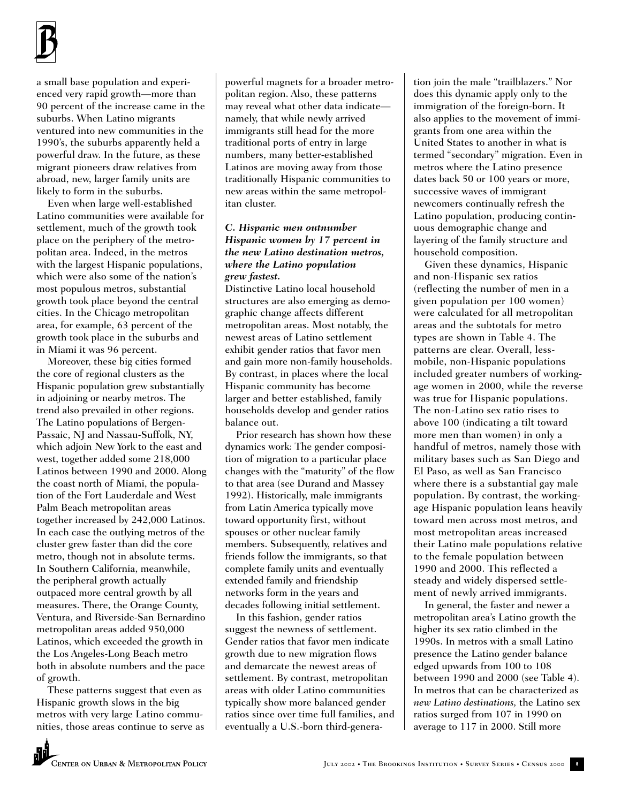

a small base population and experienced very rapid growth—more than 90 percent of the increase came in the suburbs. When Latino migrants ventured into new communities in the 1990's, the suburbs apparently held a powerful draw. In the future, as these migrant pioneers draw relatives from abroad, new, larger family units are likely to form in the suburbs.

Even when large well-established Latino communities were available for settlement, much of the growth took place on the periphery of the metropolitan area. Indeed, in the metros with the largest Hispanic populations, which were also some of the nation's most populous metros, substantial growth took place beyond the central cities. In the Chicago metropolitan area, for example, 63 percent of the growth took place in the suburbs and in Miami it was 96 percent.

Moreover, these big cities formed the core of regional clusters as the Hispanic population grew substantially in adjoining or nearby metros. The trend also prevailed in other regions. The Latino populations of Bergen-Passaic, NJ and Nassau-Suffolk, NY, which adjoin New York to the east and west, together added some 218,000 Latinos between 1990 and 2000. Along the coast north of Miami, the population of the Fort Lauderdale and West Palm Beach metropolitan areas together increased by 242,000 Latinos. In each case the outlying metros of the cluster grew faster than did the core metro, though not in absolute terms. In Southern California, meanwhile, the peripheral growth actually outpaced more central growth by all measures. There, the Orange County, Ventura, and Riverside-San Bernardino metropolitan areas added 950,000 Latinos, which exceeded the growth in the Los Angeles-Long Beach metro both in absolute numbers and the pace of growth.

These patterns suggest that even as Hispanic growth slows in the big metros with very large Latino communities, those areas continue to serve as

powerful magnets for a broader metropolitan region. Also, these patterns may reveal what other data indicate namely, that while newly arrived immigrants still head for the more traditional ports of entry in large numbers, many better-established Latinos are moving away from those traditionally Hispanic communities to new areas within the same metropolitan cluster.

#### *C. Hispanic men outnumber Hispanic women by 17 percent in the new Latino destination metros, where the Latino population grew fastest.*

Distinctive Latino local household structures are also emerging as demographic change affects different metropolitan areas. Most notably, the newest areas of Latino settlement exhibit gender ratios that favor men and gain more non-family households. By contrast, in places where the local Hispanic community has become larger and better established, family households develop and gender ratios balance out.

Prior research has shown how these dynamics work: The gender composition of migration to a particular place changes with the "maturity" of the flow to that area (see Durand and Massey 1992). Historically, male immigrants from Latin America typically move toward opportunity first, without spouses or other nuclear family members. Subsequently, relatives and friends follow the immigrants, so that complete family units and eventually extended family and friendship networks form in the years and decades following initial settlement.

In this fashion, gender ratios suggest the newness of settlement. Gender ratios that favor men indicate growth due to new migration flows and demarcate the newest areas of settlement. By contrast, metropolitan areas with older Latino communities typically show more balanced gender ratios since over time full families, and eventually a U.S.-born third-generation join the male "trailblazers." Nor does this dynamic apply only to the immigration of the foreign-born. It also applies to the movement of immigrants from one area within the United States to another in what is termed "secondary" migration. Even in metros where the Latino presence dates back 50 or 100 years or more, successive waves of immigrant newcomers continually refresh the Latino population, producing continuous demographic change and layering of the family structure and household composition.

Given these dynamics, Hispanic and non-Hispanic sex ratios (reflecting the number of men in a given population per 100 women) were calculated for all metropolitan areas and the subtotals for metro types are shown in Table 4. The patterns are clear. Overall, lessmobile, non-Hispanic populations included greater numbers of workingage women in 2000, while the reverse was true for Hispanic populations. The non-Latino sex ratio rises to above 100 (indicating a tilt toward more men than women) in only a handful of metros, namely those with military bases such as San Diego and El Paso, as well as San Francisco where there is a substantial gay male population. By contrast, the workingage Hispanic population leans heavily toward men across most metros, and most metropolitan areas increased their Latino male populations relative to the female population between 1990 and 2000. This reflected a steady and widely dispersed settlement of newly arrived immigrants.

In general, the faster and newer a metropolitan area's Latino growth the higher its sex ratio climbed in the 1990s. In metros with a small Latino presence the Latino gender balance edged upwards from 100 to 108 between 1990 and 2000 (see Table 4). In metros that can be characterized as *new Latino destinations,* the Latino sex ratios surged from 107 in 1990 on average to 117 in 2000. Still more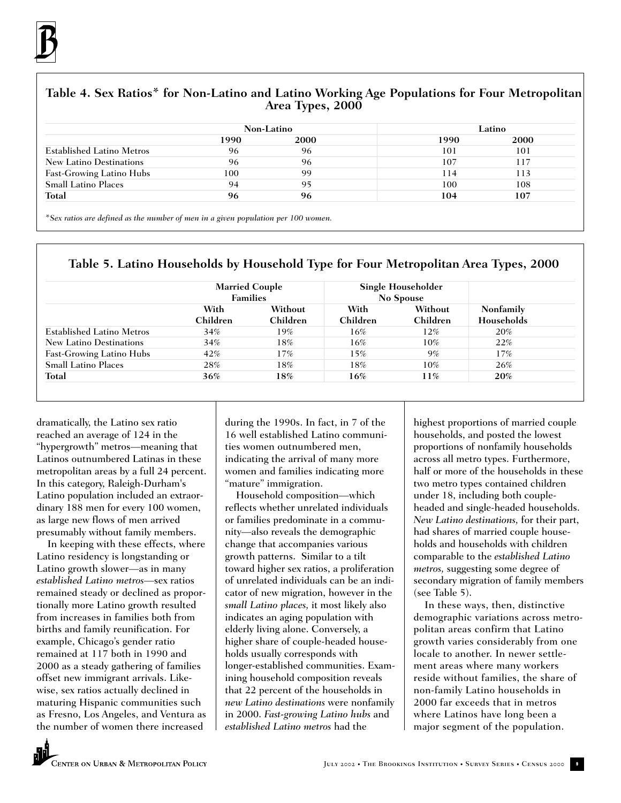# **Table 4. Sex Ratios\* for Non-Latino and Latino Working Age Populations for Four Metropolitan Area Types, 2000**

|                                  |      | <b>Non-Latino</b> |      | Latino |
|----------------------------------|------|-------------------|------|--------|
|                                  | 1990 | 2000              | 1990 | 2000   |
| <b>Established Latino Metros</b> | 96   | 96                | 101  | 101    |
| <b>New Latino Destinations</b>   | 96   | 96                | 107  | 117    |
| <b>Fast-Growing Latino Hubs</b>  | 100  | 99                | 114  | 113    |
| <b>Small Latino Places</b>       | 94   | 95                | 100  | 108    |
| <b>Total</b>                     | 96   | 96                | 104  | 107    |

*\*Sex ratios are defined as the number of men in a given population per 100 women.*

# **Table 5. Latino Households by Household Type for Four Metropolitan Area Types, 2000**

|                                  | <b>Married Couple</b><br><b>Families</b> |                     |                  | Single Householder<br>No Spouse |                         |
|----------------------------------|------------------------------------------|---------------------|------------------|---------------------------------|-------------------------|
|                                  | With<br>Children                         | Without<br>Children | With<br>Children | Without<br>Children             | Nonfamily<br>Households |
| <b>Established Latino Metros</b> | 34%                                      | 19%                 | 16%              | 12%                             | 20%                     |
| <b>New Latino Destinations</b>   | 34%                                      | 18%                 | 16%              | $10\%$                          | 22%                     |
| Fast-Growing Latino Hubs         | 42%                                      | 17%                 | 15%              | $9\%$                           | 17%                     |
| <b>Small Latino Places</b>       | 28%                                      | 18%                 | $18\%$           | $10\%$                          | 26%                     |
| Total                            | 36%                                      | $18\%$              | 16%              | 11%                             | 20%                     |

dramatically, the Latino sex ratio reached an average of 124 in the "hypergrowth" metros—meaning that Latinos outnumbered Latinas in these metropolitan areas by a full 24 percent. In this category, Raleigh-Durham's Latino population included an extraordinary 188 men for every 100 women, as large new flows of men arrived presumably without family members.

In keeping with these effects, where Latino residency is longstanding or Latino growth slower—as in many *established Latino metros*—sex ratios remained steady or declined as proportionally more Latino growth resulted from increases in families both from births and family reunification. For example, Chicago's gender ratio remained at 117 both in 1990 and 2000 as a steady gathering of families offset new immigrant arrivals. Likewise, sex ratios actually declined in maturing Hispanic communities such as Fresno, Los Angeles, and Ventura as the number of women there increased

during the 1990s. In fact, in 7 of the 16 well established Latino communities women outnumbered men, indicating the arrival of many more women and families indicating more "mature" immigration.

Household composition—which reflects whether unrelated individuals or families predominate in a community—also reveals the demographic change that accompanies various growth patterns. Similar to a tilt toward higher sex ratios, a proliferation of unrelated individuals can be an indicator of new migration, however in the *small Latino places,* it most likely also indicates an aging population with elderly living alone. Conversely, a higher share of couple-headed households usually corresponds with longer-established communities. Examining household composition reveals that 22 percent of the households in *new Latino destinations* were nonfamily in 2000. *Fast-growing Latino hubs* and *established Latino metros* had the

highest proportions of married couple households, and posted the lowest proportions of nonfamily households across all metro types. Furthermore, half or more of the households in these two metro types contained children under 18, including both coupleheaded and single-headed households. *New Latino destinations,* for their part, had shares of married couple households and households with children comparable to the *established Latino metros,* suggesting some degree of secondary migration of family members (see Table 5).

In these ways, then, distinctive demographic variations across metropolitan areas confirm that Latino growth varies considerably from one locale to another. In newer settlement areas where many workers reside without families, the share of non-family Latino households in 2000 far exceeds that in metros where Latinos have long been a major segment of the population.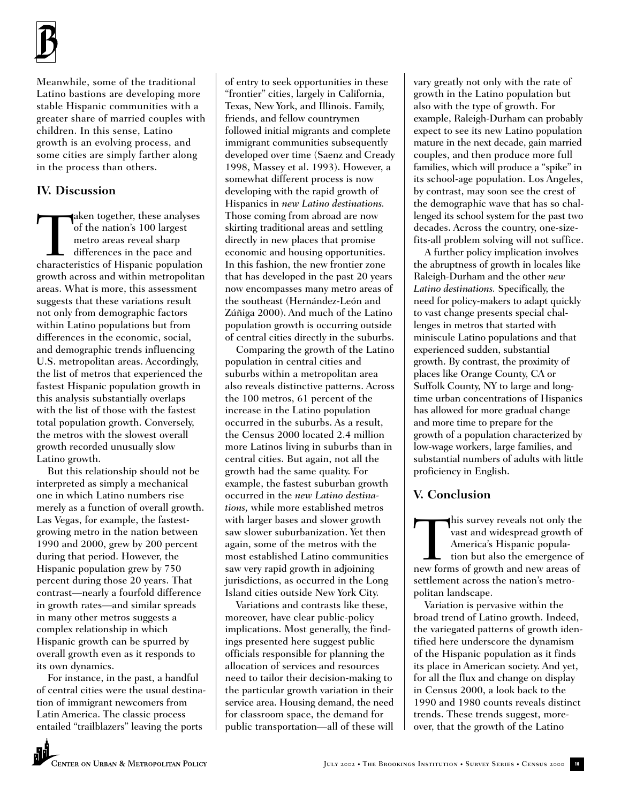Meanwhile, some of the traditional Latino bastions are developing more stable Hispanic communities with a greater share of married couples with children. In this sense, Latino growth is an evolving process, and some cities are simply farther along in the process than others.

# **IV. Discussion**

Faken together, these analyses<br>
of the nation's 100 largest<br>
metro areas reveal sharp<br>
differences in the pace and<br>
characteristics of Hispanic population of the nation's 100 largest metro areas reveal sharp differences in the pace and growth across and within metropolitan areas. What is more, this assessment suggests that these variations result not only from demographic factors within Latino populations but from differences in the economic, social, and demographic trends influencing U.S. metropolitan areas. Accordingly, the list of metros that experienced the fastest Hispanic population growth in this analysis substantially overlaps with the list of those with the fastest total population growth. Conversely, the metros with the slowest overall growth recorded unusually slow Latino growth.

But this relationship should not be interpreted as simply a mechanical one in which Latino numbers rise merely as a function of overall growth. Las Vegas, for example, the fastestgrowing metro in the nation between 1990 and 2000, grew by 200 percent during that period. However, the Hispanic population grew by 750 percent during those 20 years. That contrast—nearly a fourfold difference in growth rates—and similar spreads in many other metros suggests a complex relationship in which Hispanic growth can be spurred by overall growth even as it responds to its own dynamics.

For instance, in the past, a handful of central cities were the usual destination of immigrant newcomers from Latin America. The classic process entailed "trailblazers" leaving the ports

of entry to seek opportunities in these "frontier" cities, largely in California, Texas, New York, and Illinois. Family, friends, and fellow countrymen followed initial migrants and complete immigrant communities subsequently developed over time (Saenz and Cready 1998, Massey et al. 1993). However, a somewhat different process is now developing with the rapid growth of Hispanics in *new Latino destinations.* Those coming from abroad are now skirting traditional areas and settling directly in new places that promise economic and housing opportunities. In this fashion, the new frontier zone that has developed in the past 20 years now encompasses many metro areas of the southeast (Hernández-León and Zúñiga 2000). And much of the Latino population growth is occurring outside of central cities directly in the suburbs.

Comparing the growth of the Latino population in central cities and suburbs within a metropolitan area also reveals distinctive patterns. Across the 100 metros, 61 percent of the increase in the Latino population occurred in the suburbs. As a result, the Census 2000 located 2.4 million more Latinos living in suburbs than in central cities. But again, not all the growth had the same quality. For example, the fastest suburban growth occurred in the *new Latino destinations,* while more established metros with larger bases and slower growth saw slower suburbanization. Yet then again, some of the metros with the most established Latino communities saw very rapid growth in adjoining jurisdictions, as occurred in the Long Island cities outside New York City.

Variations and contrasts like these, moreover, have clear public-policy implications. Most generally, the findings presented here suggest public officials responsible for planning the allocation of services and resources need to tailor their decision-making to the particular growth variation in their service area. Housing demand, the need for classroom space, the demand for public transportation—all of these will

vary greatly not only with the rate of growth in the Latino population but also with the type of growth. For example, Raleigh-Durham can probably expect to see its new Latino population mature in the next decade, gain married couples, and then produce more full families, which will produce a "spike" in its school-age population. Los Angeles, by contrast, may soon see the crest of the demographic wave that has so challenged its school system for the past two decades. Across the country, one-sizefits-all problem solving will not suffice.

A further policy implication involves the abruptness of growth in locales like Raleigh-Durham and the other *new Latino destinations.* Specifically, the need for policy-makers to adapt quickly to vast change presents special challenges in metros that started with miniscule Latino populations and that experienced sudden, substantial growth. By contrast, the proximity of places like Orange County, CA or Suffolk County, NY to large and longtime urban concentrations of Hispanics has allowed for more gradual change and more time to prepare for the growth of a population characterized by low-wage workers, large families, and substantial numbers of adults with little proficiency in English.

# **V. Conclusion**

This survey reveals not only the<br>vast and widespread growth of<br>America's Hispanic popula-<br>tion but also the emergence of<br>new forms of growth and new areas of vast and widespread growth of America's Hispanic population but also the emergence of settlement across the nation's metropolitan landscape.

Variation is pervasive within the broad trend of Latino growth. Indeed, the variegated patterns of growth identified here underscore the dynamism of the Hispanic population as it finds its place in American society. And yet, for all the flux and change on display in Census 2000, a look back to the 1990 and 1980 counts reveals distinct trends. These trends suggest, moreover, that the growth of the Latino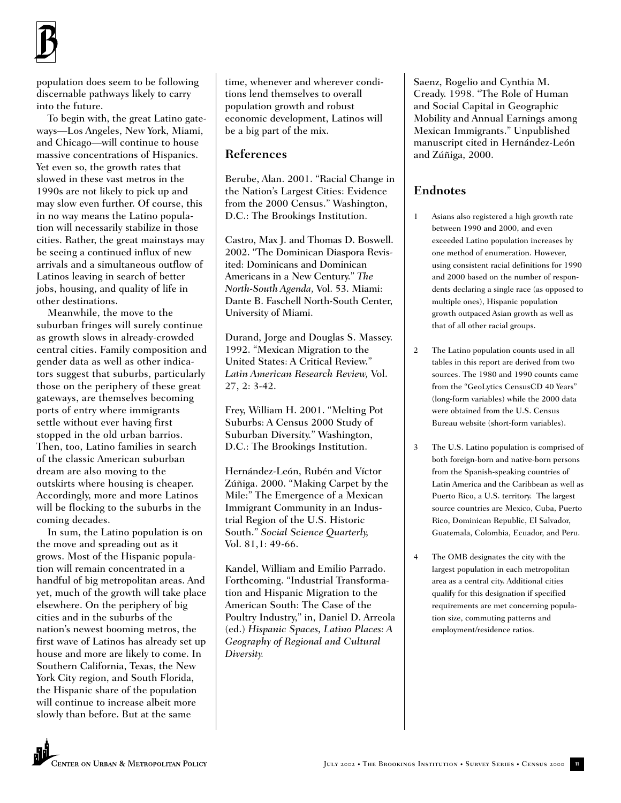

population does seem to be following discernable pathways likely to carry into the future.

To begin with, the great Latino gateways—Los Angeles, New York, Miami, and Chicago—will continue to house massive concentrations of Hispanics. Yet even so, the growth rates that slowed in these vast metros in the 1990s are not likely to pick up and may slow even further. Of course, this in no way means the Latino population will necessarily stabilize in those cities. Rather, the great mainstays may be seeing a continued influx of new arrivals and a simultaneous outflow of Latinos leaving in search of better jobs, housing, and quality of life in other destinations.

Meanwhile, the move to the suburban fringes will surely continue as growth slows in already-crowded central cities. Family composition and gender data as well as other indicators suggest that suburbs, particularly those on the periphery of these great gateways, are themselves becoming ports of entry where immigrants settle without ever having first stopped in the old urban barrios. Then, too, Latino families in search of the classic American suburban dream are also moving to the outskirts where housing is cheaper. Accordingly, more and more Latinos will be flocking to the suburbs in the coming decades.

In sum, the Latino population is on the move and spreading out as it grows. Most of the Hispanic population will remain concentrated in a handful of big metropolitan areas. And yet, much of the growth will take place elsewhere. On the periphery of big cities and in the suburbs of the nation's newest booming metros, the first wave of Latinos has already set up house and more are likely to come. In Southern California, Texas, the New York City region, and South Florida, the Hispanic share of the population will continue to increase albeit more slowly than before. But at the same

time, whenever and wherever conditions lend themselves to overall population growth and robust economic development, Latinos will be a big part of the mix.

#### **References**

Berube, Alan. 2001. "Racial Change in the Nation's Largest Cities: Evidence from the 2000 Census." Washington, D.C.: The Brookings Institution.

Castro, Max J. and Thomas D. Boswell. 2002. "The Dominican Diaspora Revisited: Dominicans and Dominican Americans in a New Century." *The North-South Agenda,* Vol. 53. Miami: Dante B. Faschell North-South Center, University of Miami.

Durand, Jorge and Douglas S. Massey. 1992. "Mexican Migration to the United States: A Critical Review." *Latin American Research Review,* Vol. 27, 2: 3-42.

Frey, William H. 2001. "Melting Pot Suburbs: A Census 2000 Study of Suburban Diversity." Washington, D.C.: The Brookings Institution.

Hernández-León, Rubén and Víctor Zúñiga. 2000. "Making Carpet by the Mile:" The Emergence of a Mexican Immigrant Community in an Industrial Region of the U.S. Historic South." *Social Science Quarterly,*  Vol. 81,1: 49-66.

Kandel, William and Emilio Parrado. Forthcoming. "Industrial Transformation and Hispanic Migration to the American South: The Case of the Poultry Industry," in, Daniel D. Arreola (ed.) *Hispanic Spaces, Latino Places: A Geography of Regional and Cultural Diversity.*

Saenz, Rogelio and Cynthia M. Cready. 1998. "The Role of Human and Social Capital in Geographic Mobility and Annual Earnings among Mexican Immigrants." Unpublished manuscript cited in Hernández-León and Zúñiga, 2000.

# **Endnotes**

- 1 Asians also registered a high growth rate between 1990 and 2000, and even exceeded Latino population increases by one method of enumeration. However, using consistent racial definitions for 1990 and 2000 based on the number of respondents declaring a single race (as opposed to multiple ones), Hispanic population growth outpaced Asian growth as well as that of all other racial groups.
- 2 The Latino population counts used in all tables in this report are derived from two sources. The 1980 and 1990 counts came from the "GeoLytics CensusCD 40 Years" (long-form variables) while the 2000 data were obtained from the U.S. Census Bureau website (short-form variables).
- 3 The U.S. Latino population is comprised of both foreign-born and native-born persons from the Spanish-speaking countries of Latin America and the Caribbean as well as Puerto Rico, a U.S. territory. The largest source countries are Mexico, Cuba, Puerto Rico, Dominican Republic, El Salvador, Guatemala, Colombia, Ecuador, and Peru.
- 4 The OMB designates the city with the largest population in each metropolitan area as a central city. Additional cities qualify for this designation if specified requirements are met concerning population size, commuting patterns and employment/residence ratios.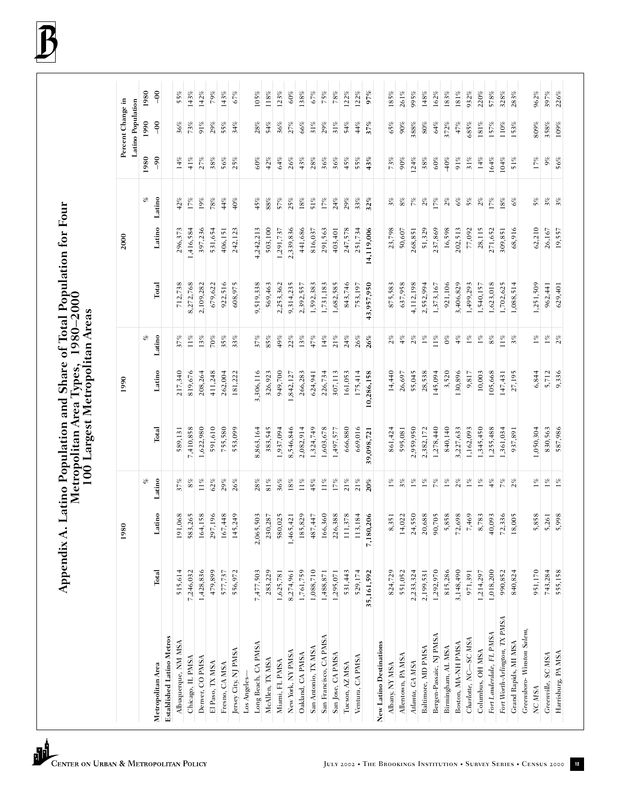

|                               |            | 1980                        |        |            | 1990       |        |            | 2000       |        |                       | Percent Change in |               |
|-------------------------------|------------|-----------------------------|--------|------------|------------|--------|------------|------------|--------|-----------------------|-------------------|---------------|
|                               |            |                             |        |            |            |        |            |            |        |                       | Latino Population |               |
|                               |            |                             | P,     |            |            | $\%$   |            |            | %      | 1980                  | 1990              | 1980          |
| Metropolitan Area             | Total      | Latino                      | Latino | Total      | Latino     | Latino | Total      | Latino     | Latino | $-90$                 | $\frac{8}{1}$     | $\frac{8}{1}$ |
| Established Latino Metros     |            |                             |        |            |            |        |            |            |        |                       |                   |               |
| Albuquerque, NM MSA           | 515,614    | 91,068                      | 37%    | 589,131    | 217,340    | 37%    | 712,738    | 296,373    | 42%    | 14%                   | 36%               | 55%           |
| Chicago, IL PMSA              | 7,246,032  | 83,265<br>S                 | $8\%$  | 7,410,858  | 819,676    | 11%    | 8,272,768  | 1,416,584  | 17%    | 41%                   | 73%               | 143%          |
| Denver, CO PMSA               | 1,428,836  | 164,158                     | $11\%$ | 1,622,980  | 208,264    | 13%    | 2,109,282  | 397,236    | 19%    | 27%                   | 91%               | $142\%$       |
| El Paso, TX MSA               | 479,899    | 97,196<br>$\mathbf{\Omega}$ | 62%    | 591,610    | 411,248    | 70%    | 679,622    | 531,654    | 78%    | 38%                   | 29%               | 79%           |
| Fresno, CA MSA                | 577,737    | 167,448                     | 29%    | 755,580    | 262,004    | 35%    | 922,516    | 406,151    | 44%    | 56%                   | 55%               | 143%          |
| Jersey City, NJ PMSA          | 556,972    | 45,249                      | 26%    | 553,099    | 181,222    | 33%    | 608,975    | 242,123    | 40%    | 25%                   | 34%               | 67%           |
| Los Angeles-                  |            |                             |        |            |            |        |            |            |        |                       |                   |               |
| Long Beach, CA PMSA           | 7,477,503  | 2,065,503                   | 28%    | 8,863,164  | 3,306,116  | 37%    | 9,519,338  | 4,242,213  | 45%    | 60%                   | 28%               | 105%          |
| McAllen, TX MSA               | 283,229    | 30,287<br>$\mathbf{C}$      | 81%    | 383,545    | 326,923    | 85%    | 569,463    | 503,100    | 88%    | 42%                   | 54%               | 118%          |
| Miami, FL PMSA                | 1,625,781  | 580,025                     | 36%    | 1,937,094  | 949,700    | 49%    | 2,253,362  | 1,291,737  | 57%    | 64%                   | 36%               | 123%          |
| New York, NY PMSA             | 8,274,961  | 1,465,421                   | 18%    | 8,546,846  | ,842,127   | 22%    | 9,314,235  | 2,339,836  | 25%    | 26%                   | 27%               | 60%           |
| Oakland, CA PMSA              | 1,761,759  | 85,829                      | 11%    | 2,082,914  | 266,283    | 13%    | 2,392,557  | 441,686    | $18\%$ | 43%                   | 66%               | 138%          |
| San Antonio, TX MSA           | 1,088,710  | 87,447                      | 45%    | 1,324,749  | 624,941    | 47%    | 1,592,383  | 816,037    | 51%    | 28%                   | 31%               | 67%           |
| San Francisco, CA PMSA        | 1,488,871  | 66,360                      | $11\%$ | 1,603,678  | 226,734    | 14%    | 1,731,183  | 291,563    | $17\%$ | 36%                   | 29%               | 75%           |
| San Jose, CA PMSA             | 1,295,071  | 26,388                      | $17\%$ | 1,497,577  | 307,113    | 21%    | 1,682,585  | 403,401    | 24%    | 36%                   | 31%               | $78\%$        |
| Tucson, AZ MSA                | 531,443    | 11,378                      | 21%    | 666,880    | 161,053    | 24%    | 843,746    | 247,578    | 29%    | 45%                   | 54%               | 122%          |
| Ventura, CA PMSA              | 529,174    | 13,184                      | 21%    | 669,016    | 175,414    | 26%    | 753,197    | 251,734    | 33%    | 55%                   | 44%               | 122%          |
|                               | 35,161,592 | 7,180,206                   | 20%    | 39,098,721 | 10,286,158 | 26%    | 43,957,950 | 14,119,006 | 32%    | 43%                   | 37%               | 97%           |
| New Latino Destinations       |            |                             |        |            |            |        |            |            |        |                       |                   |               |
| Albany, NY MSA                | 824,729    | 8,351                       | $1\%$  | 861,424    | 14,440     | 2%     | 875,583    | 23,798     | 3%     | 73%                   | 65%               | 185%          |
| Allentown, PA MSA             | 551,052    | 14,022                      | 3%     | 595,081    | 26,697     | 4%     | 637,958    | 50,607     | 8%     | 90%                   | 90%               | 261%          |
| Atlanta, GA MSA               | 2,233,324  | 24,550                      | $1\%$  | 2,959,950  | 55,045     | 2%     | 4,112,198  | 268,851    | $7\%$  | 124%                  | 388%              | 995%          |
| Baltimore, MD PMSA            | 2,199,531  | 20,688                      | $1\%$  | 2,382,172  | 28,538     | $1\%$  | 2,552,994  | 51,329     | $2\%$  | $38\%$                | $80\%$            | 148%          |
| Bergen-Passaic, NJ PMSA       | 1,292,970  | 90,705                      | $7%$   | 1,278,440  | 145,094    | 11%    | 1,373,167  | 237,869    | $17\%$ | $60\%$                | 64%               | 162%          |
| Birmingham, AL MSA            | 815,286    | 5,858                       | $1\%$  | 840,140    | 3,520      | $0\%$  | 921,106    | 16,598     | 2%     | $-40%$                | 372%              | 183%          |
| Boston, MA-NH PMSA            | 3,148,490  | 72,698                      | 2%     | 3,227,633  | 130,896    | 4%     | 3,406,829  | 202,513    | $6\%$  | 91%                   | 47%               | 181%          |
| Charlotte, NC-SC MSA          | 971,391    | 7,469                       | $1\%$  | 1,162,093  | 9,817      | $1\%$  | 1,499,293  | 77,092     | $5\%$  | 31%                   | 685%              | 932%          |
| Columbus, OH MSA              | 1,214,297  | 8,783                       | $1\%$  | 1,345,450  | 10,003     | $1\%$  | 1,540,157  | 28,115     | $2\%$  | $14\%$                | 181%              | 220%          |
| Fort Lauderdale, FL PMSA      | 1,018,200  | 40,093                      | 4%     | 1,255,488  | 105,668    | $8\%$  | 1,623,018  | 271,652    | 17%    | 164%                  | 157%              | 578%          |
| Fort Worth-Arlington, TX PMSA | 990,852    | 72,336                      | $7\%$  | 1,361,034  | 147,431    | $11\%$ | 1,702,625  | 309,851    | 18%    | 104%                  | 110%              | 328%          |
| Grand Rapids, MI MSA          | 840,824    | 18,005                      | $2\%$  | 937,891    | 27,195     | $3\%$  | 1,088,514  | 68,916     | 6%     | 51%                   | 153%              | 283%          |
| Greensboro-Winston Salem,     |            |                             |        |            |            |        |            |            |        |                       |                   |               |
| NC MSA                        | 951,170    | 5,858                       | $1\%$  | 1,050,304  | 6,844      | $1\%$  | 1,251,509  | 62,210     | 5%     | $17\%$                | 809%              | 962%          |
| Greenville, SC MSA            | 743,284    | 5,261                       | $1\%$  | 830,563    | 5,712      | $1\%$  | 962,441    | 26,167     | 3%     | $\partial_{\phi}^{0}$ | 358%              | 397%          |
| Harrisburg, PA MSA            | 555,158    | 5,998                       | $1\%$  | 587,986    | 9,336      | 2%     | 629,401    | 19,557     | 3%     | 56%                   | 109%              | 226%          |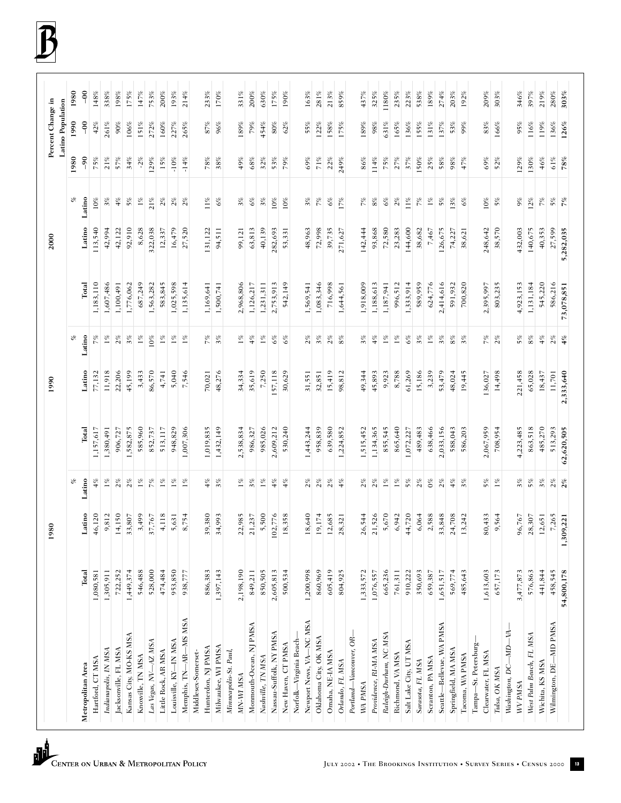|                                            |           | 80        |        |            |           |        |            | 2000      |        |        | Percent Change in<br>Latino Population |       |
|--------------------------------------------|-----------|-----------|--------|------------|-----------|--------|------------|-----------|--------|--------|----------------------------------------|-------|
|                                            |           |           | ol     |            |           | ol     |            |           | ol     |        | 1990                                   | 1980  |
| Metropolitan Area                          | Total     | Latino    | Latino | Total      | Latino    | Latino |            | Latino    | Latino | $-90$  | $\frac{8}{1}$                          | န     |
| Hartford, CT MSA                           | 1,080,581 | 46,120    | 4%     | 1,157,617  | 77,132    | 7%     | 1,183,110  | 113,540   | 10%    | 75%    | 42%                                    | 148%  |
| Indianapolis, IN MSA                       | 1,305,911 | 9,812     | $1\%$  | 1,380,491  | 11,918    | $1\%$  | 1,607,486  | 42,994    | 3%     | 21%    | 261%                                   | 338%  |
| Jacksonville, FL MSA                       | 722,252   | 14,150    | $2\%$  | 906,727    | 22,206    | $2\%$  | 1,100,491  | 42,122    | 4%     | 57%    | 90%                                    | 198%  |
| Kansas City, MO-KS MSA                     | 1,449,374 | 33,807    | $2\%$  | 1,582,875  | 45,199    | 3%     | 1,776,062  | 92,910    | 5%     | 34%    | 106%                                   | 175%  |
| Knoxville, TN MSA                          | 546,488   | 3,499     | $1\%$  | 585,960    | 3,433     | $1\%$  | 687,249    | 8,628     | $1\%$  | $-2%$  | 151%                                   | 147%  |
| Las Vegas, NV-AZ MSA                       | 528,000   | 37,767    | 7%     | 852,737    | 86,570    | 10%    | 1,563,282  | 322,038   | 21%    | 129%   | 272%                                   | 753%  |
| Little Rock, AR MSA                        | 474,484   | 4,118     | $1\%$  | 513,117    | 4,741     | $1\%$  | 583,845    | 12,337    | 2%     | 15%    | 160%                                   | 200%  |
| Louisville, KY-IN MSA                      | 953,850   | 5,631     | $1\%$  | 948,829    | 5,040     | $1\%$  | 1,025,598  | 16,479    | 2%     | $-10%$ | 227%                                   | 193%  |
| Memphis, TN-AR-MS MSA                      | 938,777   | 8,754     | $1\%$  | 1,007,306  | 7,546     | $1\%$  | 1,135,614  | 27,520    | 2%     | $-14%$ | 265%                                   | 214%  |
| Hunterdon, NJ PMSA<br>Middlesex-Somerset-  | 886,383   | 39,380    | 4%     | 1,019,835  | 70,021    | 7%     | 1,169,641  | 131,122   | $11\%$ | 78%    | 87%                                    | 233%  |
| Milwaukee, WI PMSA                         | 1,397,143 | 34,993    | 3%     | 1,432,149  | 48,276    | 3%     | 1,500,74   | 94,511    | 6%     | 38%    | 96%                                    | 170%  |
| Minneapolis-St. Paul,<br>NN-WI MSA         | 2,198,190 | 22,985    | $1\%$  | 2,538,834  | 34,334    | $1\%$  | 2,968,806  | 99,121    | $3\%$  | 49%    | 189%                                   | 331%  |
| Monmouth-Ocean, NJ PMSA                    | 849,211   | 21,237    | 3%     | 986,327    | 35,619    | 4%     | 1,126,217  | 63,813    | 6%     | 68%    | 79%                                    | 200%  |
| Nashville, TN MSA                          | 850,505   | 5,500     | $1\%$  | 985,026    | 7,250     | $1\%$  | 1,231,311  | 40,139    | 3%     | 32%    | 454%                                   | 630%  |
| Nassau-Suffolk, NY PMSA                    | 2,605,813 | 102,776   | 4%     | 2,609,212  | 157,118   | 6%     | 2,753,913  | 282,693   | 10%    | 53%    | $80\%$                                 | 175%  |
| New Haven, CT PMSA                         | 500,534   | 18,358    | 4%     | 530,240    | 30,629    | 6%     | 542,149    | 53,331    | $10\%$ | 79%    | 62%                                    | 190%  |
| Norfolk—Virginia Beach-                    |           |           |        |            |           |        |            |           |        |        |                                        |       |
| Newport News, VA-NC MSA                    | 1,200,998 | 18,640    | $2\%$  | 1,443,244  | 31,551    | 2%     | 1,569,541  | 48,963    | $3\%$  | 69%    | 55%                                    | 163%  |
| Oklahoma City, OK MSA                      | 860,969   | 19,174    | 2%     | 958,839    | 32,851    | 3%     | 1,083,346  | 72,998    | 7%     | 71%    | 122%                                   | 281%  |
| Omaha, NE-IA MSA                           | 605,419   | 12,685    | $2\%$  | 639,580    | 15,419    | 2%     | 716,998    | 39,735    | 6%     | 22%    | 158%                                   | 213%  |
| Orlando, FL MSA                            | 804,925   | 28,321    | 4%     | 1,224,852  | 98,812    | $8\%$  | 1,644,56   | 271,627   | 17%    | 249%   | 175%                                   | 859%  |
| Portland-Vancouver, OR<br>WA PMSA          | 1,333,572 | 26,544    | 2%     | 1,515,452  | 49,344    | 3%     | 1,918,009  | 142,444   | 7%     | 86%    | 189%                                   | 437%  |
| Providence, RI-MA MSA                      | 1,076,557 | 21,526    | 2%     | 1,134,365  | 45,893    | 4%     | 1,188,613  | 93,868    | 8%     | 114%   | 98%                                    | 325%  |
| Raleigh-Durham, NC MSA                     | 665,236   | 5,670     | $1\%$  | 855,545    | 9,923     | $1\%$  | 1,187,94   | 72,580    | 6%     | 75%    | 631%                                   | 1180% |
| Richmond, VA MSA                           | 761,311   | 6,942     | $1\%$  | 865,640    | 8,788     | $1\%$  | 996,512    | 23,283    | 2%     | 27%    | 165%                                   | 235%  |
| Salt Lake City, UT MSA                     | 910,222   | 44,720    | $5\%$  | 1,072,227  | 61,269    | 6%     | 1,333,914  | 144,600   | $11\%$ | 37%    | 136%                                   | 223%  |
| Sarasota, FL MSA                           | 350,693   | 6,064     | 2%     | 489,483    | 15,186    | 3%     | 589,959    | 38,682    | 7%     | 150%   | 155%                                   | 538%  |
| Scranton, PA MSA                           | 659,387   | 2,588     | $0\%$  | 638,466    | 3,239     | $1\%$  | 624,776    | 7,467     | $1\%$  | 25%    | 131%                                   | 189%  |
| Seattle-Bellevue, WA PMSA                  | 1,651,517 | 33,848    | 2%     | 2,033,156  | 53,479    | 3%     | 2,414,616  | 126,675   | 5%     | 58%    | 137%                                   | 274%  |
| Springfield, MA MSA                        | 569,774   | 24,708    | 4%     | 588,043    | 48,024    | 8%     | 591,932    | 74,227    | 13%    | 98%    | 53%                                    | 203%  |
| Tacoma, WA PMSA                            | 485,643   | 13,242    | 3%     | 586,203    | 19,445    | 3%     | 700,820    | 38,621    | 6%     | 47%    | 99%                                    | 192%  |
| Tampa—St. Petersburg<br>Clearwater, FL MSA | 1,613,603 | 80,433    | 5%     | 2,067,959  | 136,027   | 7%     | 2,395,997  | 248,642   | 10%    | 69%    | 83%                                    | 209%  |
| Tulsa, OK MSA                              | 657,173   | 9,564     | 1%     | 708,954    | 14,498    | 2%     | 803,235    | 38,570    | 5%     | 52%    | 166%                                   | 303%  |
| Washington, DC-MD-VA<br>WV PMSA            | 3,477,873 | 96,767    | $3\%$  | 4,223,485  | 221,458   | 5%     | 4,923,153  | 432,003   | 9%     | 129%   | 95%                                    | 346%  |
| West Palm Beach, FL MSA                    | 576,863   | 28,307    | 5%     | 863,518    | 65,028    | $8\%$  | 1,131,184  | 140,675   | 12%    | 130%   | 116%                                   | 397%  |
| Wichita, KS MSA                            | 441,844   | 12,651    | 3%     | 485,270    | 18,437    | 4%     | 545,220    | 40,353    | 7%     | 46%    | 119%                                   | 219%  |
| Wilmington, DE-MD PMSA                     | 458,545   | 7,265     | 2%     | 513,293    | 11,701    | 2%     | 586,216    | 27,599    | 5%     | 61%    | 136%                                   | 280%  |
|                                            |           | 1,309,221 | 2%     | 62,620,505 | 2,333,640 | 4%     | 73,078,851 | 5,282,035 | 7%     | 78%    | 126%                                   | 303%  |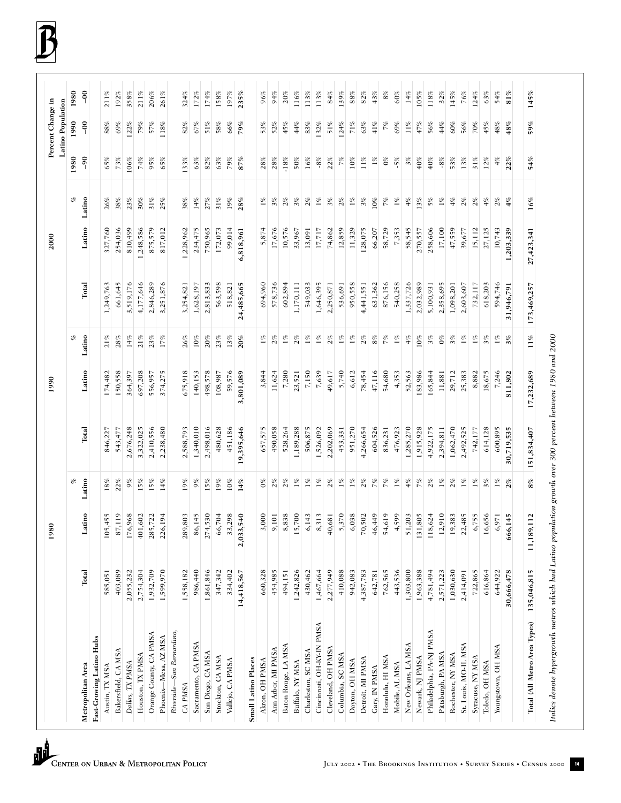| 1990<br>$\frac{8}{1}$<br>41%<br>$7\%$<br>66%<br>52%<br>124%<br>$71\%$<br>69%<br>69%<br>122%<br>79%<br>57%<br>118%<br>82%<br>67%<br>51%<br>79%<br>53%<br>63%<br>11%<br>47%<br>56%<br>44%<br>60%<br>45%<br>48%<br>88%<br>58%<br>45%<br>44%<br>83%<br>132%<br>51%<br>56%<br>70%<br>48%<br>1980<br>$-90$<br>73%<br>106%<br>74%<br>95%<br>65%<br>133%<br>63%<br>82%<br>79%<br>$\boldsymbol{-8\%}$<br>$0\%$<br>$-5%$<br>3%<br>$\boldsymbol{-8\%}$<br>53%<br>13%<br>65%<br>63%<br>28%<br>50%<br>22%<br>$\frac{6}{6}$<br>10%<br>11%<br>$1\%$<br>40%<br>40%<br>31%<br>12%<br>4%<br>22%<br>87%<br>28%<br>.18%<br>16%<br>$\%$<br>Latino<br>$1\%$<br>3%<br>$7\%$<br>13%<br>5%<br>38%<br>23%<br>30%<br>31%<br>25%<br>38%<br>14%<br>27%<br>31%<br>19%<br>$2\%$<br>3%<br>2%<br>$1\%$<br>3%<br>$2\%$<br>10%<br>$1\%$<br>4%<br>$1\%$<br>4%<br>2%<br>2%<br>4%<br>2%<br>4%<br>26%<br>28%<br>$1\%$<br>3%<br>Latino<br>254,036<br>327,760<br>810,499<br>1,248,586<br>875,579<br>234,475<br>750,965<br>99,014<br>17,676<br>17,717<br>128,075<br>7,353<br>58,545<br>270,557<br>258,606<br>17,100<br>47,559<br>39,677<br>817,012<br>1,228,962<br>172,073<br>10,576<br>74,862<br>12,859<br>11,329<br>58,729<br>15,112<br>27,125<br>10,743<br>1,203,339<br>5,874<br>33,967<br>13,091<br>66,207<br>6,818,961<br>661,645<br>3,519,176<br>4,177,646<br>2,846,289<br>3,251,876<br>563,598<br>578,736<br>876,156<br>1,337,726<br>618,203<br>1,249,763<br>2,813,833<br>694,960<br>1,646,395<br>950,558<br>631,362<br>540,258<br>2,032,989<br>2,358,695<br>2,603,607<br>732,117<br>594,746<br>Total<br>3,254,821<br>1,628,197<br>518,821<br>24,485,665<br>602,894<br>549,033<br>4,441,551<br>5,100,931<br>1,098,201<br>31,946,791<br>1,170,111<br>536,691<br>2,250,87<br>Latino<br>$1\%$<br>$2\%$<br>$8\%$<br>$7\%$<br>$1\%$<br>4%<br>$10\%$<br>3%<br>$1\,\%$<br>$1\%$<br>3%<br>ol<br>21%<br>28%<br>14%<br>21%<br>26%<br>10%<br>20%<br>23%<br>13%<br>20%<br>2%<br>$1\%$<br>2%<br>$1\%$<br>$1\%$<br>2%<br>$1\%$<br>$0\%$<br>3%<br>$1\%$<br>23%<br>17%<br>$1\%$<br>3%<br>59,576<br>Latino<br>150,558<br>697,208<br>374,275<br>675,918<br>140,153<br>498,578<br>7,280<br>7,639<br>49,617<br>5,740<br>6,612<br>47,116<br>183,986<br>165,844<br>18,675<br>364,397<br>556,957<br>108,987<br>11,624<br>7,150<br>78,454<br>54,680<br>4,353<br>52,563<br>29,712<br>25,383<br>8,882<br>7,246<br>811,802<br>174,482<br>3,801,089<br>3,844<br>23,521<br>11,881<br>3,322,025<br>1,340,010<br>2,498,016<br>451,186<br>2,676,248<br>2,410,556<br>2,238,480<br>2,588,793<br>480,628<br>657,575<br>490,058<br>1,285,270<br>1,915,928<br>4,922,175<br>1,062,470<br>2,492,525<br>614,128<br>30,719,535<br>19,395,646<br>1,189,288<br>506,875<br>1,526,092<br>2,202,069<br>951,270<br>604,526<br>476,923<br>2,394,811<br>600,895<br>Total<br>846,227<br>543,477<br>528,264<br>453,331<br>4,266,654<br>742,177<br>836,231<br>%<br>Latino<br>14%<br>2%<br>2%<br>$1\%$<br>$1\%$<br>2%<br>$1\%$<br>$1\%$<br>2%<br>$7\%$<br>$7\%$<br>$1\%$<br>$4\%$<br>$7%$<br>2%<br>$1\%$<br>2%<br>$1\%$<br>2%<br>22%<br>9%<br>15%<br>15%<br>14%<br>19%<br>9%<br>15%<br>19%<br>10%<br>$0\%$<br>$1\%$<br>$1\%$<br>3%<br>$1\%$<br>18%<br>86,145<br>274,530<br>33,298<br>8,313<br>54,619<br>51,203<br>131,805<br>118,624<br>12,910<br>6,755<br>Latino<br>105,455<br>87,119<br>176,968<br>401,602<br>285,722<br>226,194<br>289,803<br>66,704<br>3,000<br>8,838<br>5,700<br>6,143<br>5,370<br>6,038<br>70,502<br>46,449<br>4,599<br>9,383<br>22,485<br>6,656<br>666,145<br>2,033,540<br>189,01<br>9,101<br>6,971<br>2,754,304<br>1,932,709<br>1,599,970<br>986,440<br>1,861,846<br>347,342<br>334,402<br>2,277,949<br>4,387,783<br>443,536<br>1,303,800<br>1,963,388<br>4,781,494<br>2,571,223<br>1,030,630<br>722,865<br>616,864<br>30,666,478<br>Total<br>403,089<br>2,055,232<br>1,558,182<br>660,328<br>454,985<br>494,151<br>1,242,826<br>430,462<br>1,467,664<br>410,088<br>942,083<br>642,781<br>762,565<br>2,414,091<br>644,922<br>14,418,567<br>585,051<br>Cincinnati, OH-KY-IN PMSA<br>Philadelphia, PA-NJ PMSA<br>Riverside-San Bernardino<br>Orange County, CA PMSA<br>Phoenix-Mesa, AZ MSA<br>Fast-Growing Latino Hubs<br>Sacramento, CA PMSA<br>St. Louis, MO-IL MSA<br>New Orleans, LA MSA<br>Baton Rouge, LA MSA<br>Youngstown, OH MSA<br>Cleveland, OH PMSA<br>Ann Arbor, MI PMSA<br>Bakersfield, CA MSA<br>Charleston, SC MSA<br>San Diego, CA MSA<br>Pittsburgh, PA MSA<br>Houston, TX PMSA<br>Rochester, NY MSA<br>Columbia, SC MSA<br>Stockton, CA MSA<br>Honolulu, HI MSA<br>Syracuse, NY MSA<br>Newark, NJ PMSA<br>Detroit, MI PMSA<br><b>Small Latino Places</b><br>Vallejo, CA PMSA<br>Akron, OH PMSA<br>Dayton, OH MSA<br>Buffalo, NY MSA<br>Toledo, OH MSA<br>Dallas, TX PMSA<br>Mobile, AL MSA<br>Austin, TX MSA<br>Gary, IN PMSA<br>CA PMSA |                              |             | 1980       |    |             | 1990       |     |             | 2000       |     |     | Percent Change in<br>Latino Population |               |
|--------------------------------------------------------------------------------------------------------------------------------------------------------------------------------------------------------------------------------------------------------------------------------------------------------------------------------------------------------------------------------------------------------------------------------------------------------------------------------------------------------------------------------------------------------------------------------------------------------------------------------------------------------------------------------------------------------------------------------------------------------------------------------------------------------------------------------------------------------------------------------------------------------------------------------------------------------------------------------------------------------------------------------------------------------------------------------------------------------------------------------------------------------------------------------------------------------------------------------------------------------------------------------------------------------------------------------------------------------------------------------------------------------------------------------------------------------------------------------------------------------------------------------------------------------------------------------------------------------------------------------------------------------------------------------------------------------------------------------------------------------------------------------------------------------------------------------------------------------------------------------------------------------------------------------------------------------------------------------------------------------------------------------------------------------------------------------------------------------------------------------------------------------------------------------------------------------------------------------------------------------------------------------------------------------------------------------------------------------------------------------------------------------------------------------------------------------------------------------------------------------------------------------------------------------------------------------------------------------------------------------------------------------------------------------------------------------------------------------------------------------------------------------------------------------------------------------------------------------------------------------------------------------------------------------------------------------------------------------------------------------------------------------------------------------------------------------------------------------------------------------------------------------------------------------------------------------------------------------------------------------------------------------------------------------------------------------------------------------------------------------------------------------------------------------------------------------------------------------------------------------------------------------------------------------------------------------------------------------------------------------------------------------------------------------------------------------------------------------------------------------------------------------------------------------------------------------------------------------------------------------------------------------------------------------------------------------------------------------------------------------------------------------------------------------------------------------------------------------------------------------------------------------------------------------------------------------------------------------------------------------------------------------------------------------------------------------------------------------------------------------------------------------------------------------------------------------------------------------------------------------------------------------------------------------------------------------------------------------------------------------------------------------------------------------------------------------------------------------------------------------------------------------------------|------------------------------|-------------|------------|----|-------------|------------|-----|-------------|------------|-----|-----|----------------------------------------|---------------|
|                                                                                                                                                                                                                                                                                                                                                                                                                                                                                                                                                                                                                                                                                                                                                                                                                                                                                                                                                                                                                                                                                                                                                                                                                                                                                                                                                                                                                                                                                                                                                                                                                                                                                                                                                                                                                                                                                                                                                                                                                                                                                                                                                                                                                                                                                                                                                                                                                                                                                                                                                                                                                                                                                                                                                                                                                                                                                                                                                                                                                                                                                                                                                                                                                                                                                                                                                                                                                                                                                                                                                                                                                                                                                                                                                                                                                                                                                                                                                                                                                                                                                                                                                                                                                                                                                                                                                                                                                                                                                                                                                                                                                                                                                                                                                                                            |                              |             |            |    |             |            |     |             |            |     |     |                                        | 1980          |
|                                                                                                                                                                                                                                                                                                                                                                                                                                                                                                                                                                                                                                                                                                                                                                                                                                                                                                                                                                                                                                                                                                                                                                                                                                                                                                                                                                                                                                                                                                                                                                                                                                                                                                                                                                                                                                                                                                                                                                                                                                                                                                                                                                                                                                                                                                                                                                                                                                                                                                                                                                                                                                                                                                                                                                                                                                                                                                                                                                                                                                                                                                                                                                                                                                                                                                                                                                                                                                                                                                                                                                                                                                                                                                                                                                                                                                                                                                                                                                                                                                                                                                                                                                                                                                                                                                                                                                                                                                                                                                                                                                                                                                                                                                                                                                                            | Metropolitan Area            |             |            |    |             |            |     |             |            |     |     |                                        | $\frac{8}{1}$ |
|                                                                                                                                                                                                                                                                                                                                                                                                                                                                                                                                                                                                                                                                                                                                                                                                                                                                                                                                                                                                                                                                                                                                                                                                                                                                                                                                                                                                                                                                                                                                                                                                                                                                                                                                                                                                                                                                                                                                                                                                                                                                                                                                                                                                                                                                                                                                                                                                                                                                                                                                                                                                                                                                                                                                                                                                                                                                                                                                                                                                                                                                                                                                                                                                                                                                                                                                                                                                                                                                                                                                                                                                                                                                                                                                                                                                                                                                                                                                                                                                                                                                                                                                                                                                                                                                                                                                                                                                                                                                                                                                                                                                                                                                                                                                                                                            |                              |             |            |    |             |            |     |             |            |     |     |                                        |               |
|                                                                                                                                                                                                                                                                                                                                                                                                                                                                                                                                                                                                                                                                                                                                                                                                                                                                                                                                                                                                                                                                                                                                                                                                                                                                                                                                                                                                                                                                                                                                                                                                                                                                                                                                                                                                                                                                                                                                                                                                                                                                                                                                                                                                                                                                                                                                                                                                                                                                                                                                                                                                                                                                                                                                                                                                                                                                                                                                                                                                                                                                                                                                                                                                                                                                                                                                                                                                                                                                                                                                                                                                                                                                                                                                                                                                                                                                                                                                                                                                                                                                                                                                                                                                                                                                                                                                                                                                                                                                                                                                                                                                                                                                                                                                                                                            |                              |             |            |    |             |            |     |             |            |     |     |                                        | 211%          |
|                                                                                                                                                                                                                                                                                                                                                                                                                                                                                                                                                                                                                                                                                                                                                                                                                                                                                                                                                                                                                                                                                                                                                                                                                                                                                                                                                                                                                                                                                                                                                                                                                                                                                                                                                                                                                                                                                                                                                                                                                                                                                                                                                                                                                                                                                                                                                                                                                                                                                                                                                                                                                                                                                                                                                                                                                                                                                                                                                                                                                                                                                                                                                                                                                                                                                                                                                                                                                                                                                                                                                                                                                                                                                                                                                                                                                                                                                                                                                                                                                                                                                                                                                                                                                                                                                                                                                                                                                                                                                                                                                                                                                                                                                                                                                                                            |                              |             |            |    |             |            |     |             |            |     |     |                                        | 192%          |
|                                                                                                                                                                                                                                                                                                                                                                                                                                                                                                                                                                                                                                                                                                                                                                                                                                                                                                                                                                                                                                                                                                                                                                                                                                                                                                                                                                                                                                                                                                                                                                                                                                                                                                                                                                                                                                                                                                                                                                                                                                                                                                                                                                                                                                                                                                                                                                                                                                                                                                                                                                                                                                                                                                                                                                                                                                                                                                                                                                                                                                                                                                                                                                                                                                                                                                                                                                                                                                                                                                                                                                                                                                                                                                                                                                                                                                                                                                                                                                                                                                                                                                                                                                                                                                                                                                                                                                                                                                                                                                                                                                                                                                                                                                                                                                                            |                              |             |            |    |             |            |     |             |            |     |     |                                        | 358%          |
|                                                                                                                                                                                                                                                                                                                                                                                                                                                                                                                                                                                                                                                                                                                                                                                                                                                                                                                                                                                                                                                                                                                                                                                                                                                                                                                                                                                                                                                                                                                                                                                                                                                                                                                                                                                                                                                                                                                                                                                                                                                                                                                                                                                                                                                                                                                                                                                                                                                                                                                                                                                                                                                                                                                                                                                                                                                                                                                                                                                                                                                                                                                                                                                                                                                                                                                                                                                                                                                                                                                                                                                                                                                                                                                                                                                                                                                                                                                                                                                                                                                                                                                                                                                                                                                                                                                                                                                                                                                                                                                                                                                                                                                                                                                                                                                            |                              |             |            |    |             |            |     |             |            |     |     |                                        | 211%          |
|                                                                                                                                                                                                                                                                                                                                                                                                                                                                                                                                                                                                                                                                                                                                                                                                                                                                                                                                                                                                                                                                                                                                                                                                                                                                                                                                                                                                                                                                                                                                                                                                                                                                                                                                                                                                                                                                                                                                                                                                                                                                                                                                                                                                                                                                                                                                                                                                                                                                                                                                                                                                                                                                                                                                                                                                                                                                                                                                                                                                                                                                                                                                                                                                                                                                                                                                                                                                                                                                                                                                                                                                                                                                                                                                                                                                                                                                                                                                                                                                                                                                                                                                                                                                                                                                                                                                                                                                                                                                                                                                                                                                                                                                                                                                                                                            |                              |             |            |    |             |            |     |             |            |     |     |                                        | 206%          |
|                                                                                                                                                                                                                                                                                                                                                                                                                                                                                                                                                                                                                                                                                                                                                                                                                                                                                                                                                                                                                                                                                                                                                                                                                                                                                                                                                                                                                                                                                                                                                                                                                                                                                                                                                                                                                                                                                                                                                                                                                                                                                                                                                                                                                                                                                                                                                                                                                                                                                                                                                                                                                                                                                                                                                                                                                                                                                                                                                                                                                                                                                                                                                                                                                                                                                                                                                                                                                                                                                                                                                                                                                                                                                                                                                                                                                                                                                                                                                                                                                                                                                                                                                                                                                                                                                                                                                                                                                                                                                                                                                                                                                                                                                                                                                                                            |                              |             |            |    |             |            |     |             |            |     |     |                                        | 261%          |
|                                                                                                                                                                                                                                                                                                                                                                                                                                                                                                                                                                                                                                                                                                                                                                                                                                                                                                                                                                                                                                                                                                                                                                                                                                                                                                                                                                                                                                                                                                                                                                                                                                                                                                                                                                                                                                                                                                                                                                                                                                                                                                                                                                                                                                                                                                                                                                                                                                                                                                                                                                                                                                                                                                                                                                                                                                                                                                                                                                                                                                                                                                                                                                                                                                                                                                                                                                                                                                                                                                                                                                                                                                                                                                                                                                                                                                                                                                                                                                                                                                                                                                                                                                                                                                                                                                                                                                                                                                                                                                                                                                                                                                                                                                                                                                                            |                              |             |            |    |             |            |     |             |            |     |     |                                        |               |
|                                                                                                                                                                                                                                                                                                                                                                                                                                                                                                                                                                                                                                                                                                                                                                                                                                                                                                                                                                                                                                                                                                                                                                                                                                                                                                                                                                                                                                                                                                                                                                                                                                                                                                                                                                                                                                                                                                                                                                                                                                                                                                                                                                                                                                                                                                                                                                                                                                                                                                                                                                                                                                                                                                                                                                                                                                                                                                                                                                                                                                                                                                                                                                                                                                                                                                                                                                                                                                                                                                                                                                                                                                                                                                                                                                                                                                                                                                                                                                                                                                                                                                                                                                                                                                                                                                                                                                                                                                                                                                                                                                                                                                                                                                                                                                                            |                              |             |            |    |             |            |     |             |            |     |     |                                        | 324%          |
|                                                                                                                                                                                                                                                                                                                                                                                                                                                                                                                                                                                                                                                                                                                                                                                                                                                                                                                                                                                                                                                                                                                                                                                                                                                                                                                                                                                                                                                                                                                                                                                                                                                                                                                                                                                                                                                                                                                                                                                                                                                                                                                                                                                                                                                                                                                                                                                                                                                                                                                                                                                                                                                                                                                                                                                                                                                                                                                                                                                                                                                                                                                                                                                                                                                                                                                                                                                                                                                                                                                                                                                                                                                                                                                                                                                                                                                                                                                                                                                                                                                                                                                                                                                                                                                                                                                                                                                                                                                                                                                                                                                                                                                                                                                                                                                            |                              |             |            |    |             |            |     |             |            |     |     |                                        | $172\%$       |
|                                                                                                                                                                                                                                                                                                                                                                                                                                                                                                                                                                                                                                                                                                                                                                                                                                                                                                                                                                                                                                                                                                                                                                                                                                                                                                                                                                                                                                                                                                                                                                                                                                                                                                                                                                                                                                                                                                                                                                                                                                                                                                                                                                                                                                                                                                                                                                                                                                                                                                                                                                                                                                                                                                                                                                                                                                                                                                                                                                                                                                                                                                                                                                                                                                                                                                                                                                                                                                                                                                                                                                                                                                                                                                                                                                                                                                                                                                                                                                                                                                                                                                                                                                                                                                                                                                                                                                                                                                                                                                                                                                                                                                                                                                                                                                                            |                              |             |            |    |             |            |     |             |            |     |     |                                        | 174%          |
|                                                                                                                                                                                                                                                                                                                                                                                                                                                                                                                                                                                                                                                                                                                                                                                                                                                                                                                                                                                                                                                                                                                                                                                                                                                                                                                                                                                                                                                                                                                                                                                                                                                                                                                                                                                                                                                                                                                                                                                                                                                                                                                                                                                                                                                                                                                                                                                                                                                                                                                                                                                                                                                                                                                                                                                                                                                                                                                                                                                                                                                                                                                                                                                                                                                                                                                                                                                                                                                                                                                                                                                                                                                                                                                                                                                                                                                                                                                                                                                                                                                                                                                                                                                                                                                                                                                                                                                                                                                                                                                                                                                                                                                                                                                                                                                            |                              |             |            |    |             |            |     |             |            |     |     |                                        | 158%          |
|                                                                                                                                                                                                                                                                                                                                                                                                                                                                                                                                                                                                                                                                                                                                                                                                                                                                                                                                                                                                                                                                                                                                                                                                                                                                                                                                                                                                                                                                                                                                                                                                                                                                                                                                                                                                                                                                                                                                                                                                                                                                                                                                                                                                                                                                                                                                                                                                                                                                                                                                                                                                                                                                                                                                                                                                                                                                                                                                                                                                                                                                                                                                                                                                                                                                                                                                                                                                                                                                                                                                                                                                                                                                                                                                                                                                                                                                                                                                                                                                                                                                                                                                                                                                                                                                                                                                                                                                                                                                                                                                                                                                                                                                                                                                                                                            |                              |             |            |    |             |            |     |             |            |     |     |                                        | 197%          |
|                                                                                                                                                                                                                                                                                                                                                                                                                                                                                                                                                                                                                                                                                                                                                                                                                                                                                                                                                                                                                                                                                                                                                                                                                                                                                                                                                                                                                                                                                                                                                                                                                                                                                                                                                                                                                                                                                                                                                                                                                                                                                                                                                                                                                                                                                                                                                                                                                                                                                                                                                                                                                                                                                                                                                                                                                                                                                                                                                                                                                                                                                                                                                                                                                                                                                                                                                                                                                                                                                                                                                                                                                                                                                                                                                                                                                                                                                                                                                                                                                                                                                                                                                                                                                                                                                                                                                                                                                                                                                                                                                                                                                                                                                                                                                                                            |                              |             |            |    |             |            |     |             |            |     |     |                                        | 235%          |
|                                                                                                                                                                                                                                                                                                                                                                                                                                                                                                                                                                                                                                                                                                                                                                                                                                                                                                                                                                                                                                                                                                                                                                                                                                                                                                                                                                                                                                                                                                                                                                                                                                                                                                                                                                                                                                                                                                                                                                                                                                                                                                                                                                                                                                                                                                                                                                                                                                                                                                                                                                                                                                                                                                                                                                                                                                                                                                                                                                                                                                                                                                                                                                                                                                                                                                                                                                                                                                                                                                                                                                                                                                                                                                                                                                                                                                                                                                                                                                                                                                                                                                                                                                                                                                                                                                                                                                                                                                                                                                                                                                                                                                                                                                                                                                                            |                              |             |            |    |             |            |     |             |            |     |     |                                        |               |
|                                                                                                                                                                                                                                                                                                                                                                                                                                                                                                                                                                                                                                                                                                                                                                                                                                                                                                                                                                                                                                                                                                                                                                                                                                                                                                                                                                                                                                                                                                                                                                                                                                                                                                                                                                                                                                                                                                                                                                                                                                                                                                                                                                                                                                                                                                                                                                                                                                                                                                                                                                                                                                                                                                                                                                                                                                                                                                                                                                                                                                                                                                                                                                                                                                                                                                                                                                                                                                                                                                                                                                                                                                                                                                                                                                                                                                                                                                                                                                                                                                                                                                                                                                                                                                                                                                                                                                                                                                                                                                                                                                                                                                                                                                                                                                                            |                              |             |            |    |             |            |     |             |            |     |     |                                        | 96%           |
|                                                                                                                                                                                                                                                                                                                                                                                                                                                                                                                                                                                                                                                                                                                                                                                                                                                                                                                                                                                                                                                                                                                                                                                                                                                                                                                                                                                                                                                                                                                                                                                                                                                                                                                                                                                                                                                                                                                                                                                                                                                                                                                                                                                                                                                                                                                                                                                                                                                                                                                                                                                                                                                                                                                                                                                                                                                                                                                                                                                                                                                                                                                                                                                                                                                                                                                                                                                                                                                                                                                                                                                                                                                                                                                                                                                                                                                                                                                                                                                                                                                                                                                                                                                                                                                                                                                                                                                                                                                                                                                                                                                                                                                                                                                                                                                            |                              |             |            |    |             |            |     |             |            |     |     |                                        | 94%           |
|                                                                                                                                                                                                                                                                                                                                                                                                                                                                                                                                                                                                                                                                                                                                                                                                                                                                                                                                                                                                                                                                                                                                                                                                                                                                                                                                                                                                                                                                                                                                                                                                                                                                                                                                                                                                                                                                                                                                                                                                                                                                                                                                                                                                                                                                                                                                                                                                                                                                                                                                                                                                                                                                                                                                                                                                                                                                                                                                                                                                                                                                                                                                                                                                                                                                                                                                                                                                                                                                                                                                                                                                                                                                                                                                                                                                                                                                                                                                                                                                                                                                                                                                                                                                                                                                                                                                                                                                                                                                                                                                                                                                                                                                                                                                                                                            |                              |             |            |    |             |            |     |             |            |     |     |                                        | 20%           |
|                                                                                                                                                                                                                                                                                                                                                                                                                                                                                                                                                                                                                                                                                                                                                                                                                                                                                                                                                                                                                                                                                                                                                                                                                                                                                                                                                                                                                                                                                                                                                                                                                                                                                                                                                                                                                                                                                                                                                                                                                                                                                                                                                                                                                                                                                                                                                                                                                                                                                                                                                                                                                                                                                                                                                                                                                                                                                                                                                                                                                                                                                                                                                                                                                                                                                                                                                                                                                                                                                                                                                                                                                                                                                                                                                                                                                                                                                                                                                                                                                                                                                                                                                                                                                                                                                                                                                                                                                                                                                                                                                                                                                                                                                                                                                                                            |                              |             |            |    |             |            |     |             |            |     |     |                                        | 116%          |
|                                                                                                                                                                                                                                                                                                                                                                                                                                                                                                                                                                                                                                                                                                                                                                                                                                                                                                                                                                                                                                                                                                                                                                                                                                                                                                                                                                                                                                                                                                                                                                                                                                                                                                                                                                                                                                                                                                                                                                                                                                                                                                                                                                                                                                                                                                                                                                                                                                                                                                                                                                                                                                                                                                                                                                                                                                                                                                                                                                                                                                                                                                                                                                                                                                                                                                                                                                                                                                                                                                                                                                                                                                                                                                                                                                                                                                                                                                                                                                                                                                                                                                                                                                                                                                                                                                                                                                                                                                                                                                                                                                                                                                                                                                                                                                                            |                              |             |            |    |             |            |     |             |            |     |     |                                        | 113%          |
|                                                                                                                                                                                                                                                                                                                                                                                                                                                                                                                                                                                                                                                                                                                                                                                                                                                                                                                                                                                                                                                                                                                                                                                                                                                                                                                                                                                                                                                                                                                                                                                                                                                                                                                                                                                                                                                                                                                                                                                                                                                                                                                                                                                                                                                                                                                                                                                                                                                                                                                                                                                                                                                                                                                                                                                                                                                                                                                                                                                                                                                                                                                                                                                                                                                                                                                                                                                                                                                                                                                                                                                                                                                                                                                                                                                                                                                                                                                                                                                                                                                                                                                                                                                                                                                                                                                                                                                                                                                                                                                                                                                                                                                                                                                                                                                            |                              |             |            |    |             |            |     |             |            |     |     |                                        | 113%          |
|                                                                                                                                                                                                                                                                                                                                                                                                                                                                                                                                                                                                                                                                                                                                                                                                                                                                                                                                                                                                                                                                                                                                                                                                                                                                                                                                                                                                                                                                                                                                                                                                                                                                                                                                                                                                                                                                                                                                                                                                                                                                                                                                                                                                                                                                                                                                                                                                                                                                                                                                                                                                                                                                                                                                                                                                                                                                                                                                                                                                                                                                                                                                                                                                                                                                                                                                                                                                                                                                                                                                                                                                                                                                                                                                                                                                                                                                                                                                                                                                                                                                                                                                                                                                                                                                                                                                                                                                                                                                                                                                                                                                                                                                                                                                                                                            |                              |             |            |    |             |            |     |             |            |     |     |                                        | 84%           |
|                                                                                                                                                                                                                                                                                                                                                                                                                                                                                                                                                                                                                                                                                                                                                                                                                                                                                                                                                                                                                                                                                                                                                                                                                                                                                                                                                                                                                                                                                                                                                                                                                                                                                                                                                                                                                                                                                                                                                                                                                                                                                                                                                                                                                                                                                                                                                                                                                                                                                                                                                                                                                                                                                                                                                                                                                                                                                                                                                                                                                                                                                                                                                                                                                                                                                                                                                                                                                                                                                                                                                                                                                                                                                                                                                                                                                                                                                                                                                                                                                                                                                                                                                                                                                                                                                                                                                                                                                                                                                                                                                                                                                                                                                                                                                                                            |                              |             |            |    |             |            |     |             |            |     |     |                                        | 139%          |
|                                                                                                                                                                                                                                                                                                                                                                                                                                                                                                                                                                                                                                                                                                                                                                                                                                                                                                                                                                                                                                                                                                                                                                                                                                                                                                                                                                                                                                                                                                                                                                                                                                                                                                                                                                                                                                                                                                                                                                                                                                                                                                                                                                                                                                                                                                                                                                                                                                                                                                                                                                                                                                                                                                                                                                                                                                                                                                                                                                                                                                                                                                                                                                                                                                                                                                                                                                                                                                                                                                                                                                                                                                                                                                                                                                                                                                                                                                                                                                                                                                                                                                                                                                                                                                                                                                                                                                                                                                                                                                                                                                                                                                                                                                                                                                                            |                              |             |            |    |             |            |     |             |            |     |     |                                        | $88\%$        |
|                                                                                                                                                                                                                                                                                                                                                                                                                                                                                                                                                                                                                                                                                                                                                                                                                                                                                                                                                                                                                                                                                                                                                                                                                                                                                                                                                                                                                                                                                                                                                                                                                                                                                                                                                                                                                                                                                                                                                                                                                                                                                                                                                                                                                                                                                                                                                                                                                                                                                                                                                                                                                                                                                                                                                                                                                                                                                                                                                                                                                                                                                                                                                                                                                                                                                                                                                                                                                                                                                                                                                                                                                                                                                                                                                                                                                                                                                                                                                                                                                                                                                                                                                                                                                                                                                                                                                                                                                                                                                                                                                                                                                                                                                                                                                                                            |                              |             |            |    |             |            |     |             |            |     |     |                                        | 82%           |
|                                                                                                                                                                                                                                                                                                                                                                                                                                                                                                                                                                                                                                                                                                                                                                                                                                                                                                                                                                                                                                                                                                                                                                                                                                                                                                                                                                                                                                                                                                                                                                                                                                                                                                                                                                                                                                                                                                                                                                                                                                                                                                                                                                                                                                                                                                                                                                                                                                                                                                                                                                                                                                                                                                                                                                                                                                                                                                                                                                                                                                                                                                                                                                                                                                                                                                                                                                                                                                                                                                                                                                                                                                                                                                                                                                                                                                                                                                                                                                                                                                                                                                                                                                                                                                                                                                                                                                                                                                                                                                                                                                                                                                                                                                                                                                                            |                              |             |            |    |             |            |     |             |            |     |     |                                        | 43%           |
|                                                                                                                                                                                                                                                                                                                                                                                                                                                                                                                                                                                                                                                                                                                                                                                                                                                                                                                                                                                                                                                                                                                                                                                                                                                                                                                                                                                                                                                                                                                                                                                                                                                                                                                                                                                                                                                                                                                                                                                                                                                                                                                                                                                                                                                                                                                                                                                                                                                                                                                                                                                                                                                                                                                                                                                                                                                                                                                                                                                                                                                                                                                                                                                                                                                                                                                                                                                                                                                                                                                                                                                                                                                                                                                                                                                                                                                                                                                                                                                                                                                                                                                                                                                                                                                                                                                                                                                                                                                                                                                                                                                                                                                                                                                                                                                            |                              |             |            |    |             |            |     |             |            |     |     |                                        | $8\%$         |
|                                                                                                                                                                                                                                                                                                                                                                                                                                                                                                                                                                                                                                                                                                                                                                                                                                                                                                                                                                                                                                                                                                                                                                                                                                                                                                                                                                                                                                                                                                                                                                                                                                                                                                                                                                                                                                                                                                                                                                                                                                                                                                                                                                                                                                                                                                                                                                                                                                                                                                                                                                                                                                                                                                                                                                                                                                                                                                                                                                                                                                                                                                                                                                                                                                                                                                                                                                                                                                                                                                                                                                                                                                                                                                                                                                                                                                                                                                                                                                                                                                                                                                                                                                                                                                                                                                                                                                                                                                                                                                                                                                                                                                                                                                                                                                                            |                              |             |            |    |             |            |     |             |            |     |     |                                        | $60\%$        |
|                                                                                                                                                                                                                                                                                                                                                                                                                                                                                                                                                                                                                                                                                                                                                                                                                                                                                                                                                                                                                                                                                                                                                                                                                                                                                                                                                                                                                                                                                                                                                                                                                                                                                                                                                                                                                                                                                                                                                                                                                                                                                                                                                                                                                                                                                                                                                                                                                                                                                                                                                                                                                                                                                                                                                                                                                                                                                                                                                                                                                                                                                                                                                                                                                                                                                                                                                                                                                                                                                                                                                                                                                                                                                                                                                                                                                                                                                                                                                                                                                                                                                                                                                                                                                                                                                                                                                                                                                                                                                                                                                                                                                                                                                                                                                                                            |                              |             |            |    |             |            |     |             |            |     |     |                                        | $14\%$        |
|                                                                                                                                                                                                                                                                                                                                                                                                                                                                                                                                                                                                                                                                                                                                                                                                                                                                                                                                                                                                                                                                                                                                                                                                                                                                                                                                                                                                                                                                                                                                                                                                                                                                                                                                                                                                                                                                                                                                                                                                                                                                                                                                                                                                                                                                                                                                                                                                                                                                                                                                                                                                                                                                                                                                                                                                                                                                                                                                                                                                                                                                                                                                                                                                                                                                                                                                                                                                                                                                                                                                                                                                                                                                                                                                                                                                                                                                                                                                                                                                                                                                                                                                                                                                                                                                                                                                                                                                                                                                                                                                                                                                                                                                                                                                                                                            |                              |             |            |    |             |            |     |             |            |     |     |                                        | 105%          |
|                                                                                                                                                                                                                                                                                                                                                                                                                                                                                                                                                                                                                                                                                                                                                                                                                                                                                                                                                                                                                                                                                                                                                                                                                                                                                                                                                                                                                                                                                                                                                                                                                                                                                                                                                                                                                                                                                                                                                                                                                                                                                                                                                                                                                                                                                                                                                                                                                                                                                                                                                                                                                                                                                                                                                                                                                                                                                                                                                                                                                                                                                                                                                                                                                                                                                                                                                                                                                                                                                                                                                                                                                                                                                                                                                                                                                                                                                                                                                                                                                                                                                                                                                                                                                                                                                                                                                                                                                                                                                                                                                                                                                                                                                                                                                                                            |                              |             |            |    |             |            |     |             |            |     |     |                                        | 118%          |
|                                                                                                                                                                                                                                                                                                                                                                                                                                                                                                                                                                                                                                                                                                                                                                                                                                                                                                                                                                                                                                                                                                                                                                                                                                                                                                                                                                                                                                                                                                                                                                                                                                                                                                                                                                                                                                                                                                                                                                                                                                                                                                                                                                                                                                                                                                                                                                                                                                                                                                                                                                                                                                                                                                                                                                                                                                                                                                                                                                                                                                                                                                                                                                                                                                                                                                                                                                                                                                                                                                                                                                                                                                                                                                                                                                                                                                                                                                                                                                                                                                                                                                                                                                                                                                                                                                                                                                                                                                                                                                                                                                                                                                                                                                                                                                                            |                              |             |            |    |             |            |     |             |            |     |     |                                        | 32%           |
|                                                                                                                                                                                                                                                                                                                                                                                                                                                                                                                                                                                                                                                                                                                                                                                                                                                                                                                                                                                                                                                                                                                                                                                                                                                                                                                                                                                                                                                                                                                                                                                                                                                                                                                                                                                                                                                                                                                                                                                                                                                                                                                                                                                                                                                                                                                                                                                                                                                                                                                                                                                                                                                                                                                                                                                                                                                                                                                                                                                                                                                                                                                                                                                                                                                                                                                                                                                                                                                                                                                                                                                                                                                                                                                                                                                                                                                                                                                                                                                                                                                                                                                                                                                                                                                                                                                                                                                                                                                                                                                                                                                                                                                                                                                                                                                            |                              |             |            |    |             |            |     |             |            |     |     |                                        | 145%          |
|                                                                                                                                                                                                                                                                                                                                                                                                                                                                                                                                                                                                                                                                                                                                                                                                                                                                                                                                                                                                                                                                                                                                                                                                                                                                                                                                                                                                                                                                                                                                                                                                                                                                                                                                                                                                                                                                                                                                                                                                                                                                                                                                                                                                                                                                                                                                                                                                                                                                                                                                                                                                                                                                                                                                                                                                                                                                                                                                                                                                                                                                                                                                                                                                                                                                                                                                                                                                                                                                                                                                                                                                                                                                                                                                                                                                                                                                                                                                                                                                                                                                                                                                                                                                                                                                                                                                                                                                                                                                                                                                                                                                                                                                                                                                                                                            |                              |             |            |    |             |            |     |             |            |     |     |                                        | 76%           |
|                                                                                                                                                                                                                                                                                                                                                                                                                                                                                                                                                                                                                                                                                                                                                                                                                                                                                                                                                                                                                                                                                                                                                                                                                                                                                                                                                                                                                                                                                                                                                                                                                                                                                                                                                                                                                                                                                                                                                                                                                                                                                                                                                                                                                                                                                                                                                                                                                                                                                                                                                                                                                                                                                                                                                                                                                                                                                                                                                                                                                                                                                                                                                                                                                                                                                                                                                                                                                                                                                                                                                                                                                                                                                                                                                                                                                                                                                                                                                                                                                                                                                                                                                                                                                                                                                                                                                                                                                                                                                                                                                                                                                                                                                                                                                                                            |                              |             |            |    |             |            |     |             |            |     |     |                                        | 124%          |
|                                                                                                                                                                                                                                                                                                                                                                                                                                                                                                                                                                                                                                                                                                                                                                                                                                                                                                                                                                                                                                                                                                                                                                                                                                                                                                                                                                                                                                                                                                                                                                                                                                                                                                                                                                                                                                                                                                                                                                                                                                                                                                                                                                                                                                                                                                                                                                                                                                                                                                                                                                                                                                                                                                                                                                                                                                                                                                                                                                                                                                                                                                                                                                                                                                                                                                                                                                                                                                                                                                                                                                                                                                                                                                                                                                                                                                                                                                                                                                                                                                                                                                                                                                                                                                                                                                                                                                                                                                                                                                                                                                                                                                                                                                                                                                                            |                              |             |            |    |             |            |     |             |            |     |     |                                        | 63%           |
|                                                                                                                                                                                                                                                                                                                                                                                                                                                                                                                                                                                                                                                                                                                                                                                                                                                                                                                                                                                                                                                                                                                                                                                                                                                                                                                                                                                                                                                                                                                                                                                                                                                                                                                                                                                                                                                                                                                                                                                                                                                                                                                                                                                                                                                                                                                                                                                                                                                                                                                                                                                                                                                                                                                                                                                                                                                                                                                                                                                                                                                                                                                                                                                                                                                                                                                                                                                                                                                                                                                                                                                                                                                                                                                                                                                                                                                                                                                                                                                                                                                                                                                                                                                                                                                                                                                                                                                                                                                                                                                                                                                                                                                                                                                                                                                            |                              |             |            |    |             |            |     |             |            |     |     |                                        | 54%           |
|                                                                                                                                                                                                                                                                                                                                                                                                                                                                                                                                                                                                                                                                                                                                                                                                                                                                                                                                                                                                                                                                                                                                                                                                                                                                                                                                                                                                                                                                                                                                                                                                                                                                                                                                                                                                                                                                                                                                                                                                                                                                                                                                                                                                                                                                                                                                                                                                                                                                                                                                                                                                                                                                                                                                                                                                                                                                                                                                                                                                                                                                                                                                                                                                                                                                                                                                                                                                                                                                                                                                                                                                                                                                                                                                                                                                                                                                                                                                                                                                                                                                                                                                                                                                                                                                                                                                                                                                                                                                                                                                                                                                                                                                                                                                                                                            |                              |             |            |    |             |            |     |             |            |     |     |                                        | 81%           |
|                                                                                                                                                                                                                                                                                                                                                                                                                                                                                                                                                                                                                                                                                                                                                                                                                                                                                                                                                                                                                                                                                                                                                                                                                                                                                                                                                                                                                                                                                                                                                                                                                                                                                                                                                                                                                                                                                                                                                                                                                                                                                                                                                                                                                                                                                                                                                                                                                                                                                                                                                                                                                                                                                                                                                                                                                                                                                                                                                                                                                                                                                                                                                                                                                                                                                                                                                                                                                                                                                                                                                                                                                                                                                                                                                                                                                                                                                                                                                                                                                                                                                                                                                                                                                                                                                                                                                                                                                                                                                                                                                                                                                                                                                                                                                                                            | Total (All Metro Area Types) | 135,046,815 | 11,189,112 | 8% | 151,834,407 | 17,232,689 | 11% | 173,469,257 | 27,423,341 | 16% | 54% | 59%                                    | 145%          |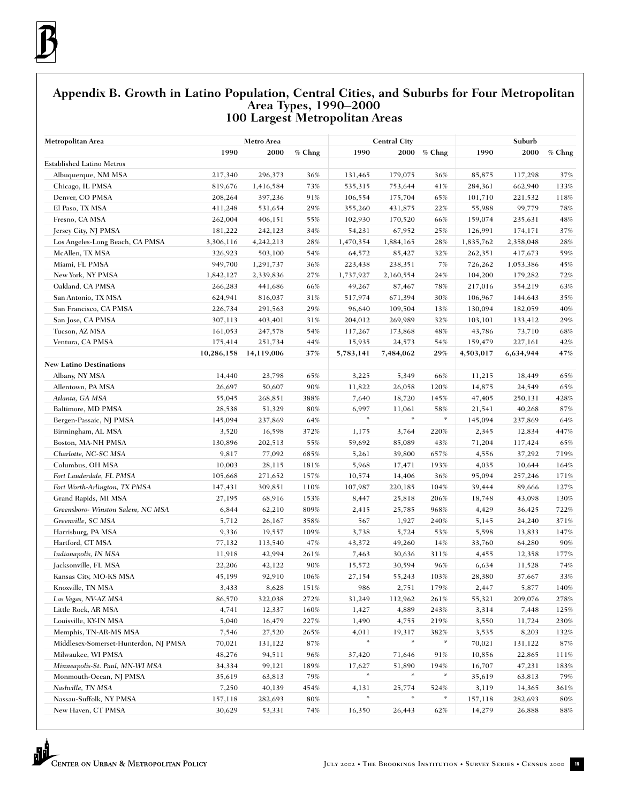#### **Appendix B. Growth in Latino Population, Central Cities, and Suburbs for Four Metropolitan Area Types, 1990–2000 100 Largest Metropolitan Areas**

| Metropolitan Area                     |            | Metro Area |        |                                                    | <b>Central City</b> |          |                 | Suburb            |          |
|---------------------------------------|------------|------------|--------|----------------------------------------------------|---------------------|----------|-----------------|-------------------|----------|
|                                       | 1990       | 2000       | % Chng | 1990                                               | 2000                | $%$ Chng | 1990            | 2000              | $%$ Chng |
| <b>Established Latino Metros</b>      |            |            |        |                                                    |                     |          |                 |                   |          |
| Albuquerque, NM MSA                   | 217,340    | 296,373    | 36%    | 131,465                                            | 179,075             | 36%      | 85,875          | 117,298           | 37%      |
| Chicago, IL PMSA                      | 819,676    | 1,416,584  | 73%    | 535,315                                            | 753,644             | 41%      | 284,361         | 662,940           | 133%     |
| Denver, CO PMSA                       | 208,264    | 397,236    | 91%    | 106,554                                            | 175,704             | 65%      | 101,710         | 221,532           | 118%     |
| El Paso, TX MSA                       | 411,248    | 531,654    | 29%    | 355,260                                            | 431,875             | 22%      | 55,988          | 99,779            | $78\%$   |
| Fresno, CA MSA                        | 262,004    | 406,151    | 55%    | 102,930                                            | 170,520             | 66%      | 159,074         | 235,631           | 48%      |
| Jersey City, NJ PMSA                  | 181,222    | 242,123    | 34%    | 54,231                                             | 67,952              | 25%      | 126,991         | 174,171           | 37%      |
| Los Angeles-Long Beach, CA PMSA       | 3,306,116  | 4,242,213  | 28%    | 1,470,354                                          | 1,884,165           | 28%      | 1,835,762       | 2,358,048         | 28%      |
| McAllen, TX MSA                       | 326,923    | 503,100    | 54%    | 64,572                                             | 85,427              | 32%      | 262,351         | 417,673           | 59%      |
| Miami, FL PMSA                        | 949,700    | 1,291,737  | 36%    | 223,438                                            | 238,351             | 7%       | 726,262         | 1,053,386         | 45%      |
| New York, NY PMSA                     | 1,842,127  | 2,339,836  | 27%    | 1,737,927                                          | 2,160,554           | 24%      | 104,200         | 179,282           | 72%      |
| Oakland, CA PMSA                      | 266,283    | 441,686    | 66%    | 49,267                                             | 87,467              | 78%      | 217,016         | 354,219           | 63%      |
| San Antonio, TX MSA                   | 624,941    | 816,037    | 31%    | 517,974                                            | 671,394             | 30%      | 106,967         | 144,643           | 35%      |
| San Francisco, CA PMSA                | 226,734    | 291,563    | 29%    | 96,640                                             | 109,504             | 13%      | 130,094         | 182,059           | 40%      |
| San Jose, CA PMSA                     | 307,113    | 403,401    | 31%    | 204,012                                            | 269,989             | 32%      | 103,101         | 133,412           | 29%      |
| Tucson, AZ MSA                        | 161,053    | 247,578    | 54%    | 117,267                                            | 173,868             | 48%      | 43,786          | 73,710            | 68%      |
| Ventura, CA PMSA                      | 175,414    | 251,734    | 44%    | 15,935                                             | 24,573              | 54%      | 159,479         | 227,161           | 42%      |
|                                       | 10,286,158 | 14,119,006 | 37%    | 5,783,141                                          | 7,484,062           | 29%      | 4,503,017       | 6,634,944         | 47%      |
| <b>New Latino Destinations</b>        |            |            |        |                                                    |                     |          |                 |                   |          |
| Albany, NY MSA                        | 14,440     | 23,798     | 65%    | 3,225                                              | 5,349               | 66%      | 11,215          | 18,449            | 65%      |
| Allentown, PA MSA                     | 26,697     | 50,607     | 90%    | 11,822                                             | 26,058              | 120%     | 14,875          | 24,549            | 65%      |
| Atlanta, GA MSA                       | 55,045     | 268,851    | 388%   | 7,640                                              | 18,720              | 145%     | 47,405          | 250,131           | 428%     |
| Baltimore, MD PMSA                    | 28,538     | 51,329     | 80%    | 6,997                                              | 11,061              | 58%      | 21,541          | 40,268            | $87\%$   |
| Bergen-Passaic, NJ PMSA               | 145,094    | 237,869    | 64%    | $\frac{\partial \mathcal{L}}{\partial \mathbf{r}}$ | $\frac{36}{3}$      | $\ast$   | 145,094         | 237,869           | 64%      |
| Birmingham, AL MSA                    | 3,520      | 16,598     | 372%   | 1,175                                              | 3,764               | 220%     | 2,345           | 12,834            | 447%     |
|                                       | 130,896    | 202,513    | 55%    | 59,692                                             | 85,089              | 43%      |                 |                   | 65%      |
| Boston, MA-NH PMSA                    | 9,817      |            | 685%   |                                                    |                     | 657%     | 71,204<br>4,556 | 117,424<br>37,292 | 719%     |
| Charlotte, NC-SC MSA                  |            | 77,092     |        | 5,261                                              | 39,800              |          |                 |                   |          |
| Columbus, OH MSA                      | 10,003     | 28,115     | 181%   | 5,968                                              | 17,471              | 193%     | 4,035           | 10,644            | 164%     |
| Fort Lauderdale, FL PMSA              | 105,668    | 271,652    | 157%   | 10,574                                             | 14,406              | 36%      | 95,094          | 257,246           | 171%     |
| Fort Worth-Arlington, TX PMSA         | 147,431    | 309,851    | 110%   | 107,987                                            | 220,185             | 104%     | 39,444          | 89,666            | 127%     |
| Grand Rapids, MI MSA                  | 27,195     | 68,916     | 153%   | 8,447                                              | 25,818              | 206%     | 18,748          | 43,098            | 130%     |
| Greensboro- Winston Salem, NC MSA     | 6,844      | 62,210     | 809%   | 2,415                                              | 25,785              | 968%     | 4,429           | 36,425            | 722%     |
| Greenville, SC MSA                    | 5,712      | 26,167     | 358%   | 567                                                | 1,927               | 240%     | 5,145           | 24,240            | 371%     |
| Harrisburg, PA MSA                    | 9,336      | 19,557     | 109%   | 3,738                                              | 5,724               | 53%      | 5,598           | 13,833            | 147%     |
| Hartford, CT MSA                      | 77,132     | 113,540    | 47%    | 43,372                                             | 49,260              | 14%      | 33,760          | 64,280            | 90%      |
| Indianapolis, IN MSA                  | 11,918     | 42,994     | 261%   | 7,463                                              | 30,636              | 311%     | 4,455           | 12,358            | 177%     |
| Jacksonville, FL MSA                  | 22,206     | 42,122     | 90%    | 15,572                                             | 30,594              | 96%      | 6,634           | 11,528            | 74%      |
| Kansas City, MO-KS MSA                | 45,199     | 92,910     | 106%   | 27,154                                             | 55,243              | 103%     | 28,380          | 37,667            | 33%      |
| Knoxville, TN MSA                     | 3,433      | 8,628      | 151%   | 986                                                | 2,751               | $179\%$  | 2,447           | 5,877             | $140\%$  |
| Las Vegas, NV-AZ MSA                  | 86,570     | 322,038    | 272%   | 31,249                                             | 112,962             | 261%     | 55,321          | 209,076           | 278%     |
| Little Rock, AR MSA                   | 4,741      | 12,337     | 160%   | 1,427                                              | 4,889               | 243%     | 3,314           | 7,448             | 125%     |
| Louisville, KY-IN MSA                 | 5,040      | 16,479     | 227%   | 1,490                                              | 4,755               | 219%     | 3,550           | 11,724            | 230%     |
| Memphis, TN-AR-MS MSA                 | 7,546      | 27,520     | 265%   | 4,011                                              | 19,317              | 382%     | 3,535           | 8,203             | 132%     |
| Middlesex-Somerset-Hunterdon, NJ PMSA | 70,021     | 131,122    | 87%    | $\ast$                                             | $\frac{3L}{2}$      | ×        | 70,021          | 131,122           | 87%      |
| Milwaukee, WI PMSA                    | 48,276     | 94,511     | 96%    | 37,420                                             | 71,646              | 91%      | 10,856          | 22,865            | 111%     |
| Minneapolis-St. Paul, MN-WI MSA       | 34,334     | 99,121     | 189%   | 17,627                                             | 51,890              | 194%     | 16,707          | 47,231            | 183%     |
| Monmouth-Ocean, NJ PMSA               | 35,619     | 63,813     | 79%    | $\frac{\partial \mathcal{L}}{\partial \mathbf{r}}$ | $\frac{3L}{2}$      | $\ast$   | 35,619          | 63,813            | 79%      |
| Nashville, TN MSA                     | 7,250      | 40,139     | 454%   | 4,131                                              | 25,774              | 524%     | 3,119           | 14,365            | 361%     |
| Nassau-Suffolk, NY PMSA               | 157,118    | 282,693    | $80\%$ | $\frac{3L}{2}$                                     | $\ast$              | ×        | 157,118         | 282,693           | 80%      |
| New Haven, CT PMSA                    | 30,629     | 53,331     | 74%    | 16,350                                             | 26,443              | 62%      | 14,279          | 26,888            | $88\%$   |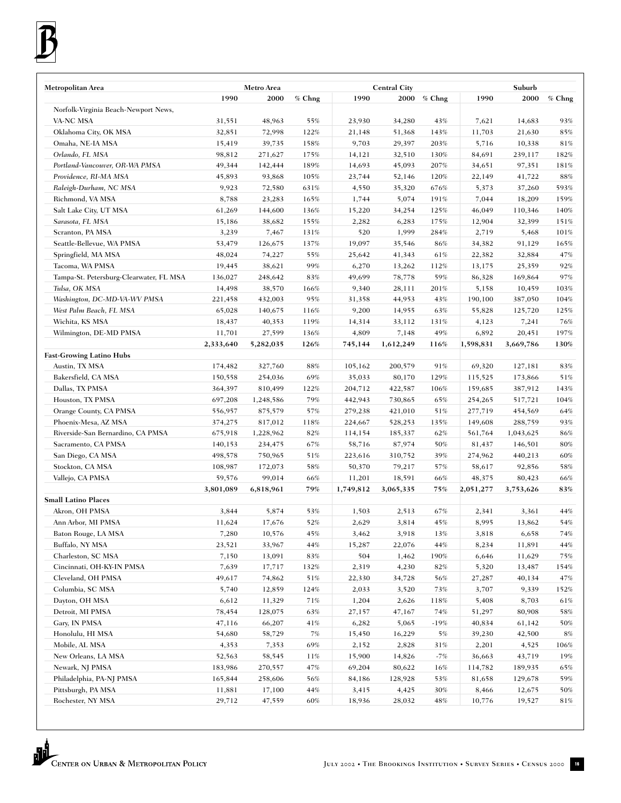

| Metropolitan Area                              | Metro Area |           |          | <b>Central City</b> |           |        | Suburb    |           |          |
|------------------------------------------------|------------|-----------|----------|---------------------|-----------|--------|-----------|-----------|----------|
|                                                | 1990       | 2000      | $%$ Chng | 1990                | 2000      | % Chng | 1990      | 2000      | $%$ Chng |
| Norfolk-Virginia Beach-Newport News,           |            |           |          |                     |           |        |           |           |          |
| VA-NC MSA                                      | 31,551     | 48,963    | 55%      | 23,930              | 34,280    | 43%    | 7,621     | 14,683    | 93%      |
| Oklahoma City, OK MSA                          | 32,851     | 72,998    | 122%     | 21,148              | 51,368    | 143%   | 11,703    | 21,630    | 85%      |
| Omaha, NE-IA MSA                               | 15,419     | 39,735    | 158%     | 9,703               | 29,397    | 203%   | 5,716     | 10,338    | 81%      |
| Orlando, FL MSA                                | 98,812     | 271,627   | 175%     | 14,121              | 32,510    | 130%   | 84,691    | 239,117   | 182%     |
| Portland-Vancouver, OR-WA PMSA                 | 49,344     | 142,444   | 189%     | 14,693              | 45,093    | 207%   | 34,651    | 97,351    | 181%     |
| Providence, RI-MA MSA                          | 45,893     | 93,868    | 105%     | 23,744              | 52,146    | 120%   | 22,149    | 41,722    | $88\%$   |
| Raleigh-Durham, NC MSA                         | 9,923      | 72,580    | 631%     | 4,550               | 35,320    | 676%   | 5,373     | 37,260    | 593%     |
| Richmond, VA MSA                               | 8,788      | 23,283    | 165%     | 1,744               | 5,074     | 191%   | 7,044     | 18,209    | 159%     |
| Salt Lake City, UT MSA                         | 61,269     | 144,600   | 136%     | 15,220              | 34,254    | 125%   | 46,049    | 110,346   | 140%     |
| Sarasota, FL MSA                               | 15,186     | 38,682    | 155%     | 2,282               | 6,283     | 175%   | 12,904    | 32,399    | 151%     |
| Scranton, PA MSA                               | 3,239      | 7,467     | 131%     | 520                 | 1,999     | 284%   | 2,719     | 5,468     | 101%     |
| Seattle-Bellevue, WA PMSA                      | 53,479     | 126,675   | 137%     | 19,097              | 35,546    | 86%    | 34,382    | 91,129    | 165%     |
| Springfield, MA MSA                            | 48,024     | 74,227    | 55%      | 25,642              | 41,343    | 61%    | 22,382    | 32,884    | 47%      |
| Tacoma, WA PMSA                                | 19,445     | 38,621    | 99%      | 6,270               | 13,262    | 112%   | 13,175    | 25,359    | 92%      |
| Tampa-St. Petersburg-Clearwater, FL MSA        | 136,027    | 248,642   | 83%      | 49,699              | 78,778    | 59%    | 86,328    | 169,864   | 97%      |
| Tulsa, OK MSA                                  | 14,498     | 38,570    | 166%     | 9,340               | 28,111    | 201%   | 5,158     | 10,459    | 103%     |
| Washington, DC-MD-VA-WV PMSA                   | 221,458    | 432,003   | 95%      | 31,358              | 44,953    | 43%    | 190,100   | 387,050   | 104%     |
| West Palm Beach, FL MSA                        | 65,028     | 140,675   | 116%     | 9,200               | 14,955    | 63%    | 55,828    | 125,720   | 125%     |
| Wichita, KS MSA                                | 18,437     | 40,353    | 119%     | 14,314              | 33,112    | 131%   | 4,123     | 7,241     | 76%      |
| Wilmington, DE-MD PMSA                         | 11,701     | 27,599    | 136%     | 4,809               | 7,148     | 49%    | 6,892     | 20,451    | 197%     |
|                                                | 2,333,640  | 5,282,035 | 126%     | 745,144             | 1,612,249 | 116%   | 1,598,831 | 3,669,786 | 130%     |
| <b>Fast-Growing Latino Hubs</b>                |            |           |          |                     |           |        |           |           |          |
| Austin, TX MSA                                 | 174,482    | 327,760   | $88\%$   | 105,162             | 200,579   | 91%    | 69,320    | 127,181   | 83%      |
| Bakersfield, CA MSA                            | 150,558    | 254,036   | 69%      | 35,033              | 80,170    | 129%   | 115,525   | 173,866   | 51%      |
| Dallas, TX PMSA                                | 364,397    | 810,499   | 122%     | 204,712             | 422,587   | 106%   | 159,685   | 387,912   | 143%     |
| Houston, TX PMSA                               | 697,208    | 1,248,586 | 79%      | 442,943             | 730,865   | 65%    | 254,265   | 517,721   | 104%     |
| Orange County, CA PMSA                         | 556,957    | 875,579   | 57%      | 279,238             | 421,010   | 51%    | 277,719   | 454,569   | 64%      |
| Phoenix-Mesa, AZ MSA                           | 374,275    | 817,012   | 118%     | 224,667             | 528,253   | 135%   | 149,608   | 288,759   | 93%      |
| Riverside-San Bernardino, CA PMSA              | 675,918    | 1,228,962 | 82%      | 114,154             | 185,337   | 62%    | 561,764   | 1,043,625 | 86%      |
| Sacramento, CA PMSA                            | 140,153    | 234,475   | 67%      | 58,716              | 87,974    | 50%    | 81,437    | 146,501   | $80\%$   |
|                                                | 498,578    | 750,965   | 51%      | 223,616             | 310,752   | 39%    | 274,962   |           | 60%      |
| San Diego, CA MSA                              |            |           |          |                     |           |        |           | 440,213   |          |
| Stockton, CA MSA                               | 108,987    | 172,073   | 58%      | 50,370              | 79,217    | 57%    | 58,617    | 92,856    | 58%      |
| Vallejo, CA PMSA<br><b>Small Latino Places</b> | 59,576     | 99,014    | 66%      | 11,201              | 18,591    | 66%    | 48,375    | 80,423    | 66%      |
|                                                | 3,801,089  | 6,818,961 | 79%      | 1,749,812           | 3,065,335 | 75%    | 2,051,277 | 3,753,626 | 83%      |
|                                                |            |           |          |                     |           |        |           |           |          |
| Akron, OH PMSA                                 | 3,844      | 5,874     | 53%      | 1,503               | 2,513     | 67%    | 2,341     | 3,361     | 44%      |
| Ann Arbor, MI PMSA                             | 11,624     | 17,676    | 52%      | 2,629               | 3,814     | 45%    | 8,995     | 13,862    | 54%      |
| Baton Rouge, LA MSA                            | 7,280      | 10,576    | 45%      | 3,462               | 3,918     | 13%    | 3,818     | 6,658     | 74%      |
| Buffalo, NY MSA                                | 23,521     | 33,967    | 44%      | 15,287              | 22,076    | 44%    | 8,234     | 11,891    | 44%      |
| Charleston, SC MSA                             | 7,150      | 13,091    | 83%      | 504                 | 1,462     | 190%   | 6,646     | 11,629    | 75%      |
| Cincinnati, OH-KY-IN PMSA                      | 7,639      | 17,717    | 132%     | 2,319               | 4,230     | 82%    | 5,320     | 13,487    | 154%     |
| Cleveland, OH PMSA                             | 49,617     | 74,862    | 51%      | 22,330              | 34,728    | 56%    | 27,287    | 40,134    | 47%      |
| Columbia, SC MSA                               | 5,740      | 12,859    | 124%     | 2,033               | 3,520     | 73%    | 3,707     | 9,339     | 152%     |
| Dayton, OH MSA                                 | 6,612      | 11,329    | 71%      | 1,204               | 2,626     | 118%   | 5,408     | 8,703     | 61%      |
| Detroit, MI PMSA                               | 78,454     | 128,075   | 63%      | 27,157              | 47,167    | 74%    | 51,297    | 80,908    | 58%      |
| Gary, IN PMSA                                  | 47,116     | 66,207    | 41%      | 6,282               | 5,065     | $-19%$ | 40,834    | 61,142    | 50%      |
| Honolulu, HI MSA                               | 54,680     | 58,729    | $7\%$    | 15,450              | 16,229    | $5\%$  | 39,230    | 42,500    | $8\%$    |
| Mobile, AL MSA                                 | 4,353      | 7,353     | 69%      | 2,152               | 2,828     | 31%    | 2,201     | 4,525     | 106%     |
| New Orleans, LA MSA                            | 52,563     | 58,545    | 11%      | 15,900              | 14,826    | $-7%$  | 36,663    | 43,719    | 19%      |
| Newark, NJ PMSA                                | 183,986    | 270,557   | 47%      | 69,204              | 80,622    | 16%    | 114,782   | 189,935   | 65%      |
| Philadelphia, PA-NJ PMSA                       | 165,844    | 258,606   | 56%      | 84,186              | 128,928   | 53%    | 81,658    | 129,678   | 59%      |
| Pittsburgh, PA MSA                             | 11,881     | 17,100    | 44%      | 3,415               | 4,425     | 30%    | 8,466     | 12,675    | 50%      |
| Rochester, NY MSA                              | 29,712     | 47,559    | $60\%$   | 18,936              | 28,032    | 48%    | 10,776    | 19,527    | 81%      |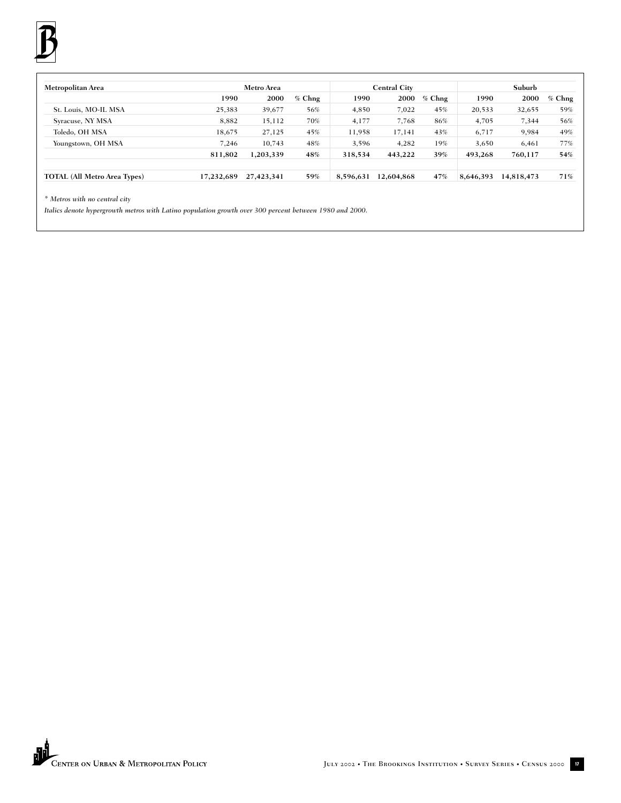| Metropolitan Area                   | Metro Area |            |          | <b>Central City</b> |            |          | <b>Suburb</b> |            |          |
|-------------------------------------|------------|------------|----------|---------------------|------------|----------|---------------|------------|----------|
|                                     | 1990       | 2000       | $%$ Chng | 1990                | 2000       | $%$ Chng | 1990          | 2000       | $%$ Chng |
| St. Louis, MO-IL MSA                | 25,383     | 39,677     | 56%      | 4,850               | 7,022      | 45%      | 20,533        | 32,655     | 59%      |
| Syracuse, NY MSA                    | 8,882      | 15,112     | 70%      | 4,177               | 7,768      | 86%      | 4,705         | 7,344      | 56%      |
| Toledo, OH MSA                      | 18,675     | 27,125     | 45%      | 11,958              | 17,141     | 43%      | 6,717         | 9,984      | 49%      |
| Youngstown, OH MSA                  | 7.246      | 10.743     | 48%      | 3,596               | 4,282      | 19%      | 3,650         | 6,461      | 77%      |
|                                     | 811,802    | 1,203,339  | 48%      | 318,534             | 443,222    | 39%      | 493,268       | 760,117    | 54%      |
| <b>TOTAL (All Metro Area Types)</b> | 17,232,689 | 27,423,341 | 59%      | 8,596,631           | 12,604,868 | 47%      | 8,646,393     | 14,818,473 | 71%      |

*\* Metros with no central city*

*Italics denote hypergrowth metros with Latino population growth over 300 percent between 1980 and 2000.*